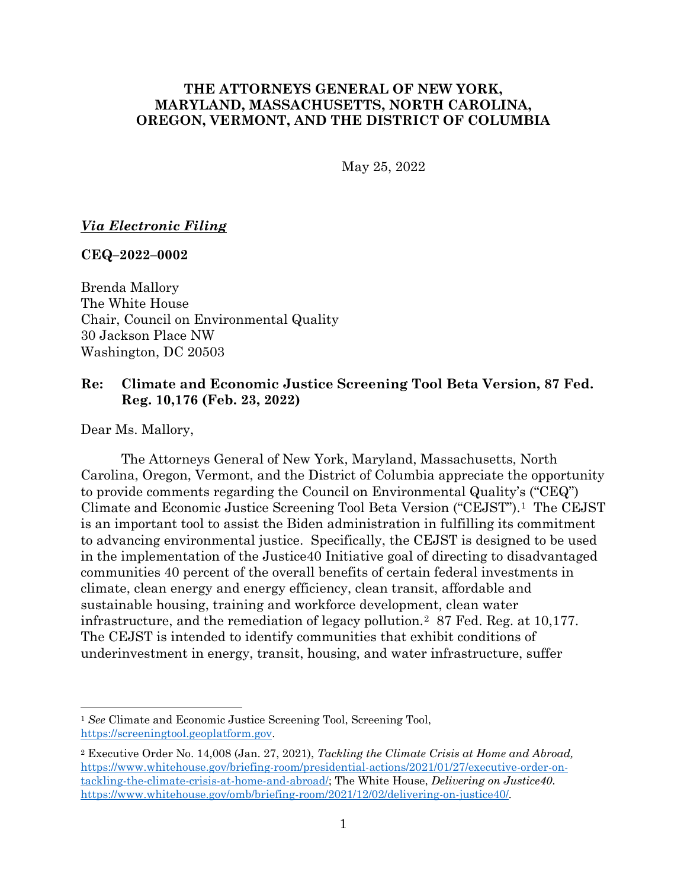# **THE ATTORNEYS GENERAL OF NEW YORK, MARYLAND, MASSACHUSETTS, NORTH CAROLINA, OREGON, VERMONT, AND THE DISTRICT OF COLUMBIA**

May 25, 2022

#### *Via Electronic Filing*

#### **CEQ–2022–0002**

Brenda Mallory The White House Chair, Council on Environmental Quality 30 Jackson Place NW Washington, DC 20503

### **Re: Climate and Economic Justice Screening Tool Beta Version, 87 Fed. Reg. 10,176 (Feb. 23, 2022)**

Dear Ms. Mallory,

The Attorneys General of New York, Maryland, Massachusetts, North Carolina, Oregon, Vermont, and the District of Columbia appreciate the opportunity to provide comments regarding the Council on Environmental Quality's ("CEQ") Climate and Economic Justice Screening Tool Beta Version ("CEJST").[1](#page-0-0) The CEJST is an important tool to assist the Biden administration in fulfilling its commitment to advancing environmental justice. Specifically, the CEJST is designed to be used in the implementation of the Justice40 Initiative goal of directing to disadvantaged communities 40 percent of the overall benefits of certain federal investments in climate, clean energy and energy efficiency, clean transit, affordable and sustainable housing, training and workforce development, clean water infrastructure, and the remediation of legacy pollution.[2](#page-0-1) 87 Fed. Reg. at 10,177. The CEJST is intended to identify communities that exhibit conditions of underinvestment in energy, transit, housing, and water infrastructure, suffer

<span id="page-0-0"></span><sup>&</sup>lt;sup>1</sup> See Climate and Economic Justice Screening Tool, Screening Tool, [https://screeningtool.geoplatform.gov.](https://screeningtool.geoplatform.gov/)

<span id="page-0-1"></span><sup>2</sup> Executive Order No. 14,008 (Jan. 27, 2021), *Tackling the Climate Crisis at Home and Abroad,* [https://www.whitehouse.gov/briefing-room/presidential-actions/2021/01/27/executive-order-on](https://www.whitehouse.gov/briefing-room/presidential-actions/2021/01/27/executive-order-on-tackling-the-climate-crisis-at-home-and-abroad/)[tackling-the-climate-crisis-at-home-and-abroad/;](https://www.whitehouse.gov/briefing-room/presidential-actions/2021/01/27/executive-order-on-tackling-the-climate-crisis-at-home-and-abroad/) The White House, *Delivering on Justice40*. <https://www.whitehouse.gov/omb/briefing-room/2021/12/02/delivering-on-justice40/>*.*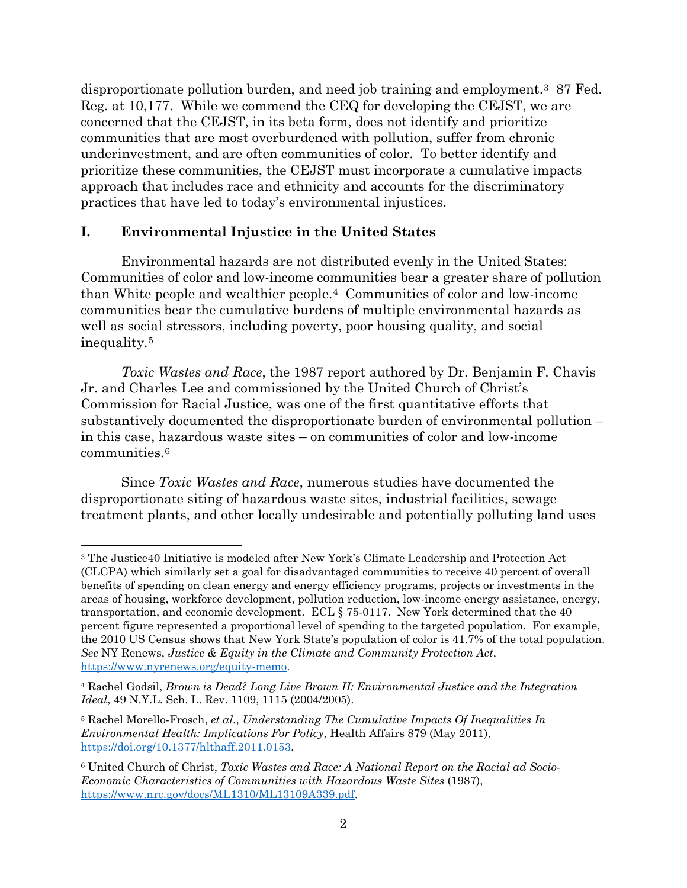disproportionate pollution burden, and need job training and employment.[3](#page-1-0) 87 Fed. Reg. at 10,177. While we commend the CEQ for developing the CEJST, we are concerned that the CEJST, in its beta form, does not identify and prioritize communities that are most overburdened with pollution, suffer from chronic underinvestment, and are often communities of color. To better identify and prioritize these communities, the CEJST must incorporate a cumulative impacts approach that includes race and ethnicity and accounts for the discriminatory practices that have led to today's environmental injustices.

#### **I. Environmental Injustice in the United States**

Environmental hazards are not distributed evenly in the United States: Communities of color and low-income communities bear a greater share of pollution than White people and wealthier people.[4](#page-1-1) Communities of color and low-income communities bear the cumulative burdens of multiple environmental hazards as well as social stressors, including poverty, poor housing quality, and social inequality.[5](#page-1-2)

*Toxic Wastes and Race*, the 1987 report authored by Dr. Benjamin F. Chavis Jr. and Charles Lee and commissioned by the United Church of Christ's Commission for Racial Justice, was one of the first quantitative efforts that substantively documented the disproportionate burden of environmental pollution – in this case, hazardous waste sites – on communities of color and low-income communities.[6](#page-1-3)

Since *Toxic Wastes and Race*, numerous studies have documented the disproportionate siting of hazardous waste sites, industrial facilities, sewage treatment plants, and other locally undesirable and potentially polluting land uses

<span id="page-1-0"></span><sup>3</sup> The Justice40 Initiative is modeled after New York's Climate Leadership and Protection Act (CLCPA) which similarly set a goal for disadvantaged communities to receive 40 percent of overall benefits of spending on clean energy and energy efficiency programs, projects or investments in the areas of housing, workforce development, pollution reduction, low-income energy assistance, energy, transportation, and economic development. ECL § 75-0117. New York determined that the 40 percent figure represented a proportional level of spending to the targeted population. For example, the 2010 US Census shows that New York State's population of color is 41.7% of the total population. *See* NY Renews, *Justice & Equity in the Climate and Community Protection Act*, [https://www.nyrenews.org/equity-memo.](https://www.nyrenews.org/equity-memo)

<span id="page-1-1"></span><sup>4</sup> Rachel Godsil, *Brown is Dead? Long Live Brown II: Environmental Justice and the Integration Ideal*, 49 N.Y.L. Sch. L. Rev. 1109, 1115 (2004/2005).

<span id="page-1-2"></span><sup>5</sup> Rachel Morello-Frosch, *et al.*, *Understanding The Cumulative Impacts Of Inequalities In Environmental Health: Implications For Policy*, Health Affairs 879 (May 2011), [https://doi.org/10.1377/hlthaff.2011.0153.](https://doi.org/10.1377/hlthaff.2011.0153)

<span id="page-1-3"></span><sup>6</sup> United Church of Christ, *Toxic Wastes and Race: A National Report on the Racial ad Socio-Economic Characteristics of Communities with Hazardous Waste Sites* (1987), [https://www.nrc.gov/docs/ML1310/ML13109A339.pdf.](https://www.nrc.gov/docs/ML1310/ML13109A339.pdf)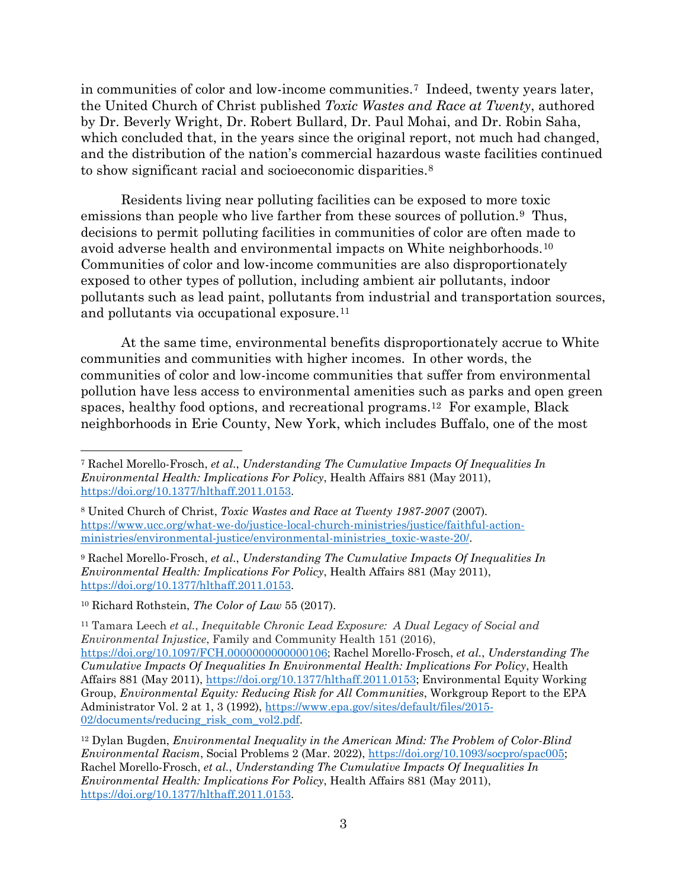in communities of color and low-income communities.[7](#page-2-0) Indeed, twenty years later, the United Church of Christ published *Toxic Wastes and Race at Twenty*, authored by Dr. Beverly Wright, Dr. Robert Bullard, Dr. Paul Mohai, and Dr. Robin Saha, which concluded that, in the years since the original report, not much had changed, and the distribution of the nation's commercial hazardous waste facilities continued to show significant racial and socioeconomic disparities.<sup>[8](#page-2-1)</sup>

Residents living near polluting facilities can be exposed to more toxic emissions than people who live farther from these sources of pollution.<sup>9</sup> Thus, decisions to permit polluting facilities in communities of color are often made to avoid adverse health and environmental impacts on White neighborhoods.[10](#page-2-3) Communities of color and low-income communities are also disproportionately exposed to other types of pollution, including ambient air pollutants, indoor pollutants such as lead paint, pollutants from industrial and transportation sources, and pollutants via occupational exposure.[11](#page-2-4) 

At the same time, environmental benefits disproportionately accrue to White communities and communities with higher incomes. In other words, the communities of color and low-income communities that suffer from environmental pollution have less access to environmental amenities such as parks and open green spaces, healthy food options, and recreational programs[.12](#page-2-5) For example, Black neighborhoods in Erie County, New York, which includes Buffalo, one of the most

<span id="page-2-0"></span><sup>7</sup> Rachel Morello-Frosch, *et al.*, *Understanding The Cumulative Impacts Of Inequalities In Environmental Health: Implications For Policy*, Health Affairs 881 (May 2011), [https://doi.org/10.1377/hlthaff.2011.0153.](https://doi.org/10.1377/hlthaff.2011.0153)

<span id="page-2-1"></span><sup>8</sup> United Church of Christ, *Toxic Wastes and Race at Twenty 1987-2007* (2007)*.* [https://www.ucc.org/what-we-do/justice-local-church-ministries/justice/faithful-action](https://www.ucc.org/what-we-do/justice-local-church-ministries/justice/faithful-action-ministries/environmental-justice/environmental-ministries_toxic-waste-20/)[ministries/environmental-justice/environmental-ministries\\_toxic-waste-20/.](https://www.ucc.org/what-we-do/justice-local-church-ministries/justice/faithful-action-ministries/environmental-justice/environmental-ministries_toxic-waste-20/)

<span id="page-2-2"></span><sup>9</sup> Rachel Morello-Frosch, *et al.*, *Understanding The Cumulative Impacts Of Inequalities In Environmental Health: Implications For Policy*, Health Affairs 881 (May 2011), [https://doi.org/10.1377/hlthaff.2011.0153.](https://doi.org/10.1377/hlthaff.2011.0153)

<span id="page-2-3"></span><sup>10</sup> Richard Rothstein, *The Color of Law* 55 (2017).

<span id="page-2-4"></span><sup>11</sup> Tamara Leech *et al.*, *Inequitable Chronic Lead Exposure: A Dual Legacy of Social and Environmental Injustice*, Family and Community Health 151 (2016), [https://doi.org/10.1097/FCH.0000000000000106;](https://doi.org/10.1097/FCH.0000000000000106) Rachel Morello-Frosch, *et al.*, *Understanding The Cumulative Impacts Of Inequalities In Environmental Health: Implications For Policy*, Health Affairs 881 (May 2011), [https://doi.org/10.1377/hlthaff.2011.0153;](https://doi.org/10.1377/hlthaff.2011.0153) Environmental Equity Working Group, *Environmental Equity: Reducing Risk for All Communities*, Workgroup Report to the EPA Administrator Vol. 2 at 1, 3 (1992), [https://www.epa.gov/sites/default/files/2015-](https://www.epa.gov/sites/default/files/2015-02/documents/reducing_risk_com_vol2.pdf) [02/documents/reducing\\_risk\\_com\\_vol2.pdf.](https://www.epa.gov/sites/default/files/2015-02/documents/reducing_risk_com_vol2.pdf)

<span id="page-2-5"></span><sup>12</sup> Dylan Bugden, *Environmental Inequality in the American Mind: The Problem of Color-Blind Environmental Racism*, Social Problems 2 (Mar. 2022), [https://doi.org/10.1093/socpro/spac005;](https://doi.org/10.1093/socpro/spac005) Rachel Morello-Frosch, *et al.*, *Understanding The Cumulative Impacts Of Inequalities In Environmental Health: Implications For Policy*, Health Affairs 881 (May 2011), [https://doi.org/10.1377/hlthaff.2011.0153.](https://doi.org/10.1377/hlthaff.2011.0153)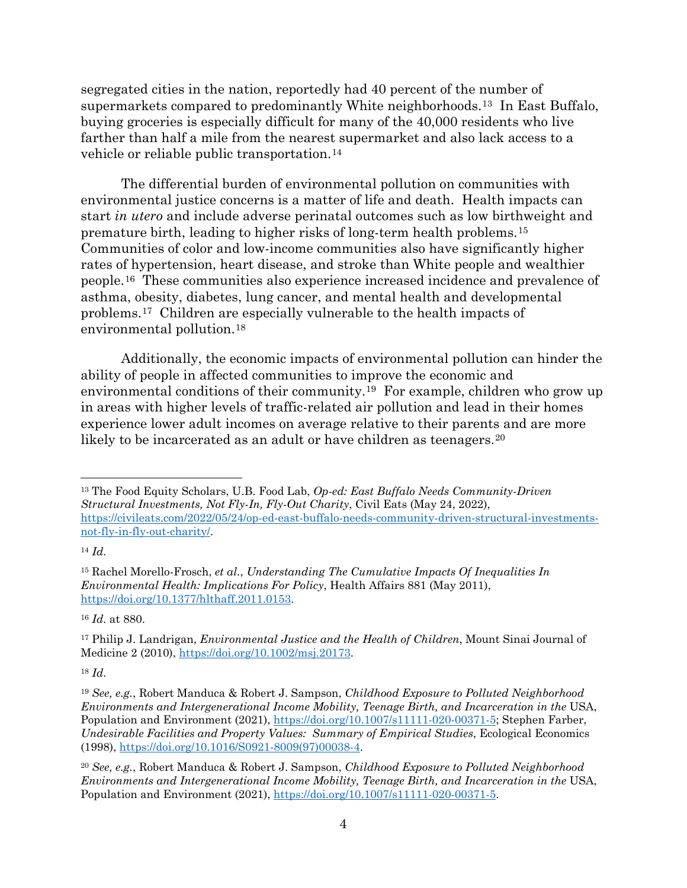segregated cities in the nation, reportedly had 40 percent of the number of supermarkets compared to predominantly White neighborhoods.[13](#page-3-0) In East Buffalo, buying groceries is especially difficult for many of the 40,000 residents who live farther than half a mile from the nearest supermarket and also lack access to a vehicle or reliable public transportation.[14](#page-3-1)

The differential burden of environmental pollution on communities with environmental justice concerns is a matter of life and death. Health impacts can start *in utero* and include adverse perinatal outcomes such as low birthweight and premature birth, leading to higher risks of long-term health problems.[15](#page-3-2)  Communities of color and low-income communities also have significantly higher rates of hypertension, heart disease, and stroke than White people and wealthier people.[16](#page-3-3) These communities also experience increased incidence and prevalence of asthma, obesity, diabetes, lung cancer, and mental health and developmental problems.[17](#page-3-4) Children are especially vulnerable to the health impacts of environmental pollution.[18](#page-3-5) 

Additionally, the economic impacts of environmental pollution can hinder the ability of people in affected communities to improve the economic and environmental conditions of their community.[19](#page-3-6) For example, children who grow up in areas with higher levels of traffic-related air pollution and lead in their homes experience lower adult incomes on average relative to their parents and are more likely to be incarcerated as an adult or have children as teenagers.<sup>[20](#page-3-7)</sup>

<span id="page-3-1"></span><sup>14</sup> *Id.*

<span id="page-3-3"></span><sup>16</sup> *Id.* at 880.

<span id="page-3-5"></span><sup>18</sup> *Id.*

<span id="page-3-0"></span><sup>13</sup> The Food Equity Scholars, U.B. Food Lab, *Op-ed: East Buffalo Needs Community-Driven Structural Investments, Not Fly-In, Fly-Out Charity*, Civil Eats (May 24, 2022), [https://civileats.com/2022/05/24/op-ed-east-buffalo-needs-community-driven-structural-investments](https://civileats.com/2022/05/24/op-ed-east-buffalo-needs-community-driven-structural-investments-not-fly-in-fly-out-charity/)[not-fly-in-fly-out-charity/.](https://civileats.com/2022/05/24/op-ed-east-buffalo-needs-community-driven-structural-investments-not-fly-in-fly-out-charity/)

<span id="page-3-2"></span><sup>15</sup> Rachel Morello-Frosch, *et al.*, *Understanding The Cumulative Impacts Of Inequalities In Environmental Health: Implications For Policy*, Health Affairs 881 (May 2011), [https://doi.org/10.1377/hlthaff.2011.0153.](https://doi.org/10.1377/hlthaff.2011.0153)

<span id="page-3-4"></span><sup>17</sup> Philip J. Landrigan, *Environmental Justice and the Health of Children*, Mount Sinai Journal of Medicine 2 (2010), [https://doi.org/10.1002/msj.20173.](https://doi.org/10.1002/msj.20173)

<span id="page-3-6"></span><sup>19</sup> *See, e.g.*, Robert Manduca & Robert J. Sampson, *Childhood Exposure to Polluted Neighborhood Environments and Intergenerational Income Mobility, Teenage Birth, and Incarceration in the USA,* Population and Environment (2021), [https://doi.org/10.1007/s11111-020-00371-5;](https://doi.org/10.1007/s11111-020-00371-5) Stephen Farber, *Undesirable Facilities and Property Values: Summary of Empirical Studies*, Ecological Economics (1998), [https://doi.org/10.1016/S0921-8009\(97\)00038-4.](https://doi.org/10.1016/S0921-8009(97)00038-4)

<span id="page-3-7"></span><sup>20</sup> *See, e.g.*, Robert Manduca & Robert J. Sampson, *Childhood Exposure to Polluted Neighborhood Environments and Intergenerational Income Mobility, Teenage Birth, and Incarceration in the USA,* Population and Environment (2021), [https://doi.org/10.1007/s11111-020-00371-5.](https://doi.org/10.1007/s11111-020-00371-5)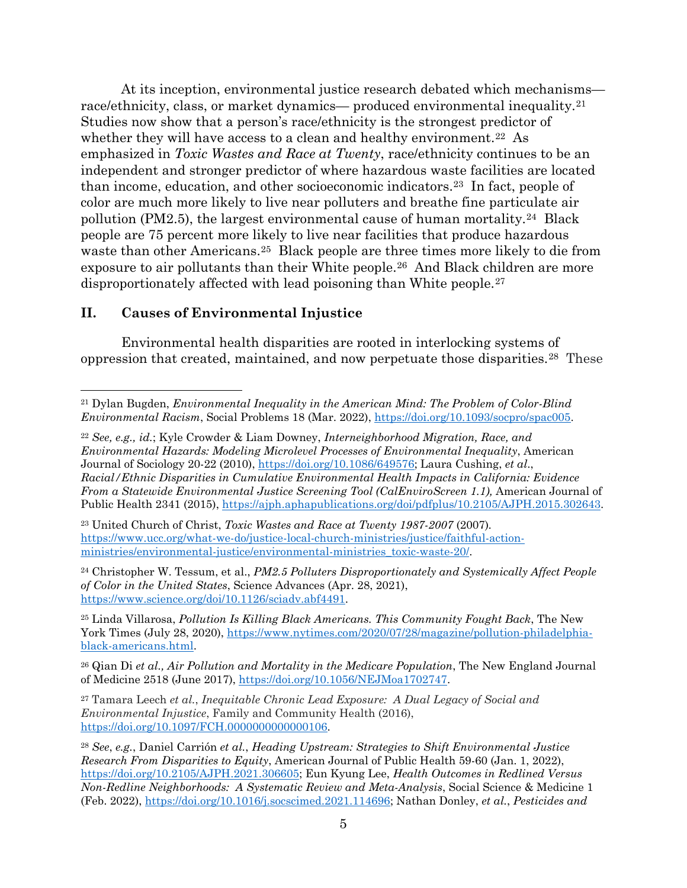At its inception, environmental justice research debated which mechanisms— race/ethnicity, class, or market dynamics— produced environmental inequality.<sup>[21](#page-4-0)</sup> Studies now show that a person's race/ethnicity is the strongest predictor of whether they will have access to a clean and healthy environment.<sup>[22](#page-4-1)</sup> As emphasized in *Toxic Wastes and Race at Twenty*, race/ethnicity continues to be an independent and stronger predictor of where hazardous waste facilities are located than income, education, and other socioeconomic indicators.[23](#page-4-2) In fact, people of color are much more likely to live near polluters and breathe fine particulate air pollution (PM2.5), the largest environmental cause of human mortality.[24](#page-4-3) Black people are 75 percent more likely to live near facilities that produce hazardous waste than other Americans.[25](#page-4-4) Black people are three times more likely to die from exposure to air pollutants than their White people.[26](#page-4-5) And Black children are more disproportionately affected with lead poisoning than White people.<sup>[27](#page-4-6)</sup>

#### **II. Causes of Environmental Injustice**

Environmental health disparities are rooted in interlocking systems of oppression that created, maintained, and now perpetuate those disparities.[28](#page-4-7) These

<span id="page-4-1"></span><sup>22</sup> *See, e.g., id.*; Kyle Crowder & Liam Downey, *Interneighborhood Migration, Race, and Environmental Hazards: Modeling Microlevel Processes of Environmental Inequality*, American Journal of Sociology 20-22 (2010), [https://doi.org/10.1086/649576;](https://doi.org/10.1086/649576) Laura Cushing, *et al*., *Racial/Ethnic Disparities in Cumulative Environmental Health Impacts in California: Evidence From a Statewide Environmental Justice Screening Tool (CalEnviroScreen 1.1),* American Journal of Public Health 2341 (2015), [https://ajph.aphapublications.org/doi/pdfplus/10.2105/AJPH.2015.302643.](https://ajph.aphapublications.org/doi/pdfplus/10.2105/AJPH.2015.302643)

<span id="page-4-2"></span><sup>23</sup> United Church of Christ, *Toxic Wastes and Race at Twenty 1987-2007* (2007)*.* [https://www.ucc.org/what-we-do/justice-local-church-ministries/justice/faithful-action](https://www.ucc.org/what-we-do/justice-local-church-ministries/justice/faithful-action-ministries/environmental-justice/environmental-ministries_toxic-waste-20/)[ministries/environmental-justice/environmental-ministries\\_toxic-waste-20/.](https://www.ucc.org/what-we-do/justice-local-church-ministries/justice/faithful-action-ministries/environmental-justice/environmental-ministries_toxic-waste-20/)

<span id="page-4-3"></span><sup>24</sup> Christopher W. Tessum, et al., *PM2.5 Polluters Disproportionately and Systemically Affect People of Color in the United States*, Science Advances (Apr. 28, 2021), [https://www.science.org/doi/10.1126/sciadv.abf4491.](https://www.science.org/doi/10.1126/sciadv.abf4491)

<span id="page-4-4"></span><sup>25</sup> Linda Villarosa, *Pollution Is Killing Black Americans. This Community Fought Back*, The New York Times (July 28, 2020), [https://www.nytimes.com/2020/07/28/magazine/pollution-philadelphia](https://www.nytimes.com/2020/07/28/magazine/pollution-philadelphia-black-americans.html)[black-americans.html.](https://www.nytimes.com/2020/07/28/magazine/pollution-philadelphia-black-americans.html)

<span id="page-4-5"></span><sup>26</sup> Qian Di *et al., Air Pollution and Mortality in the Medicare Population*, The New England Journal of Medicine 2518 (June 2017), [https://doi.org/10.1056/NEJMoa1702747.](https://doi.org/10.1056/NEJMoa1702747)

<span id="page-4-6"></span><sup>27</sup> Tamara Leech *et al.*, *Inequitable Chronic Lead Exposure: A Dual Legacy of Social and Environmental Injustice*, Family and Community Health (2016), [https://doi.org/10.1097/FCH.0000000000000106.](https://doi.org/10.1097/FCH.0000000000000106)

<span id="page-4-0"></span><sup>21</sup> Dylan Bugden, *Environmental Inequality in the American Mind: The Problem of Color-Blind Environmental Racism*, Social Problems 18 (Mar. 2022), [https://doi.org/10.1093/socpro/spac005.](https://doi.org/10.1093/socpro/spac005)

<span id="page-4-7"></span><sup>28</sup> *See*, *e.g.*, Daniel Carrión *et al.*, *Heading Upstream: Strategies to Shift Environmental Justice Research From Disparities to Equity*, American Journal of Public Health 59-60 (Jan. 1, 2022), [https://doi.org/10.2105/AJPH.2021.306605;](https://doi.org/10.2105/AJPH.2021.306605) Eun Kyung Lee, *Health Outcomes in Redlined Versus Non-Redline Neighborhoods: A Systematic Review and Meta-Analysis*, Social Science & Medicine 1 (Feb. 2022), [https://doi.org/10.1016/j.socscimed.2021.114696;](https://doi.org/10.1016/j.socscimed.2021.114696) Nathan Donley, *et al.*, *Pesticides and*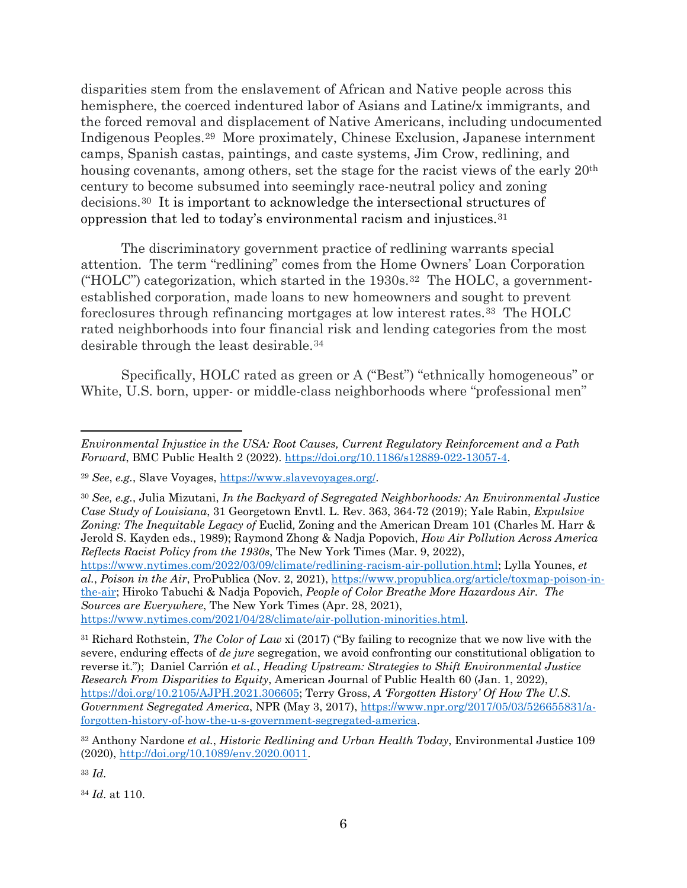disparities stem from the enslavement of African and Native people across this hemisphere, the coerced indentured labor of Asians and Latine/x immigrants, and the forced removal and displacement of Native Americans, including undocumented Indigenous Peoples.[29](#page-5-0) More proximately, Chinese Exclusion, Japanese internment camps, Spanish castas, paintings, and caste systems, Jim Crow, redlining, and housing covenants, among others, set the stage for the racist views of the early  $20<sup>th</sup>$ century to become subsumed into seemingly race-neutral policy and zoning decisions.[30](#page-5-1) It is important to acknowledge the intersectional structures of oppression that led to today's environmental racism and injustices.[31](#page-5-2)

The discriminatory government practice of redlining warrants special attention. The term "redlining" comes from the Home Owners' Loan Corporation ("HOLC") categorization, which started in the  $1930s$ .<sup>32</sup> The HOLC, a governmentestablished corporation, made loans to new homeowners and sought to prevent foreclosures through refinancing mortgages at low interest rates.[33](#page-5-4) The HOLC rated neighborhoods into four financial risk and lending categories from the most desirable through the least desirable.[34](#page-5-5) 

Specifically, HOLC rated as green or A ("Best") "ethnically homogeneous" or White, U.S. born, upper- or middle-class neighborhoods where "professional men"

<span id="page-5-3"></span><sup>32</sup> Anthony Nardone *et al.*, *Historic Redlining and Urban Health Today*, Environmental Justice 109 (2020), [http://doi.org/10.1089/env.2020.0011.](http://doi.org/10.1089/env.2020.0011)

<span id="page-5-4"></span><sup>33</sup> *Id.*

<span id="page-5-5"></span><sup>34</sup> *Id.* at 110.

*Environmental Injustice in the USA: Root Causes, Current Regulatory Reinforcement and a Path Forward*, BMC Public Health 2 (2022). [https://doi.org/10.1186/s12889-022-13057-4.](https://doi.org/10.1186/s12889-022-13057-4)

<span id="page-5-0"></span><sup>29</sup> *See*, *e.g.*, Slave Voyages, [https://www.slavevoyages.org/.](https://www.slavevoyages.org/)

<span id="page-5-1"></span><sup>30</sup> *See, e.g.*, Julia Mizutani, *In the Backyard of Segregated Neighborhoods: An Environmental Justice Case Study of Louisiana*, 31 Georgetown Envtl. L. Rev. 363, 364-72 (2019); Yale Rabin, *Expulsive Zoning: The Inequitable Legacy of* Euclid*,* Zoning and the American Dream 101 (Charles M. Harr & Jerold S. Kayden eds., 1989); Raymond Zhong & Nadja Popovich, *How Air Pollution Across America Reflects Racist Policy from the 1930s*, The New York Times (Mar. 9, 2022),

[https://www.nytimes.com/2022/03/09/climate/redlining-racism-air-pollution.html;](https://www.nytimes.com/2022/03/09/climate/redlining-racism-air-pollution.html) Lylla Younes, *et al.*, *Poison in the Air*, ProPublica (Nov. 2, 2021), [https://www.propublica.org/article/toxmap-poison-in](https://www.propublica.org/article/toxmap-poison-in-the-air)[the-air;](https://www.propublica.org/article/toxmap-poison-in-the-air) Hiroko Tabuchi & Nadja Popovich, *People of Color Breathe More Hazardous Air. The Sources are Everywhere*, The New York Times (Apr. 28, 2021), [https://www.nytimes.com/2021/04/28/climate/air-pollution-minorities.html.](https://www.nytimes.com/2021/04/28/climate/air-pollution-minorities.html)

<span id="page-5-2"></span><sup>31</sup> Richard Rothstein, *The Color of Law* xi (2017) ("By failing to recognize that we now live with the severe, enduring effects of *de jure* segregation, we avoid confronting our constitutional obligation to reverse it."); Daniel Carrión *et al.*, *Heading Upstream: Strategies to Shift Environmental Justice Research From Disparities to Equity*, American Journal of Public Health 60 (Jan. 1, 2022), [https://doi.org/10.2105/AJPH.2021.306605;](https://doi.org/10.2105/AJPH.2021.306605) Terry Gross, *A 'Forgotten History' Of How The U.S. Government Segregated America*, NPR (May 3, 2017), [https://www.npr.org/2017/05/03/526655831/a](https://www.npr.org/2017/05/03/526655831/a-forgotten-history-of-how-the-u-s-government-segregated-america)[forgotten-history-of-how-the-u-s-government-segregated-america.](https://www.npr.org/2017/05/03/526655831/a-forgotten-history-of-how-the-u-s-government-segregated-america)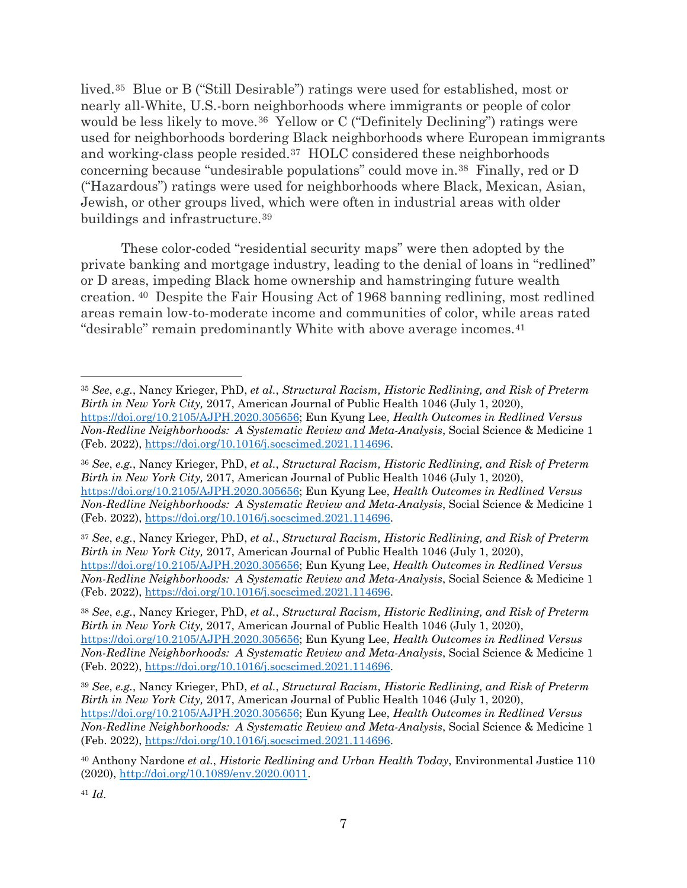lived.[35](#page-6-0) Blue or B ("Still Desirable") ratings were used for established, most or nearly all-White, U.S.-born neighborhoods where immigrants or people of color would be less likely to move.<sup>36</sup> Yellow or C ("Definitely Declining") ratings were used for neighborhoods bordering Black neighborhoods where European immigrants and working-class people resided.[37](#page-6-2) HOLC considered these neighborhoods concerning because "undesirable populations" could move in.[38](#page-6-3) Finally, red or D ("Hazardous") ratings were used for neighborhoods where Black, Mexican, Asian, Jewish, or other groups lived, which were often in industrial areas with older buildings and infrastructure.[39](#page-6-4)

These color-coded "residential security maps" were then adopted by the private banking and mortgage industry, leading to the denial of loans in "redlined" or D areas, impeding Black home ownership and hamstringing future wealth creation. [40](#page-6-5) Despite the Fair Housing Act of 1968 banning redlining, most redlined areas remain low-to-moderate income and communities of color, while areas rated "desirable" remain predominantly White with above average incomes.[41](#page-6-6)

<span id="page-6-2"></span><sup>37</sup> *See*, *e.g.*, Nancy Krieger, PhD, *et al.*, *Structural Racism, Historic Redlining, and Risk of Preterm Birth in New York City,* 2017, American Journal of Public Health 1046 (July 1, 2020), [https://doi.org/10.2105/AJPH.2020.305656;](https://doi.org/10.2105/AJPH.2020.305656) Eun Kyung Lee, *Health Outcomes in Redlined Versus Non-Redline Neighborhoods: A Systematic Review and Meta-Analysis*, Social Science & Medicine 1 (Feb. 2022), [https://doi.org/10.1016/j.socscimed.2021.114696.](https://doi.org/10.1016/j.socscimed.2021.114696)

<span id="page-6-3"></span><sup>38</sup> *See*, *e.g.*, Nancy Krieger, PhD, *et al.*, *Structural Racism, Historic Redlining, and Risk of Preterm Birth in New York City,* 2017, American Journal of Public Health 1046 (July 1, 2020), [https://doi.org/10.2105/AJPH.2020.305656;](https://doi.org/10.2105/AJPH.2020.305656) Eun Kyung Lee, *Health Outcomes in Redlined Versus Non-Redline Neighborhoods: A Systematic Review and Meta-Analysis*, Social Science & Medicine 1 (Feb. 2022), [https://doi.org/10.1016/j.socscimed.2021.114696.](https://doi.org/10.1016/j.socscimed.2021.114696)

<span id="page-6-4"></span><sup>39</sup> *See*, *e.g.*, Nancy Krieger, PhD, *et al.*, *Structural Racism, Historic Redlining, and Risk of Preterm Birth in New York City,* 2017, American Journal of Public Health 1046 (July 1, 2020), [https://doi.org/10.2105/AJPH.2020.305656;](https://doi.org/10.2105/AJPH.2020.305656) Eun Kyung Lee, *Health Outcomes in Redlined Versus Non-Redline Neighborhoods: A Systematic Review and Meta-Analysis*, Social Science & Medicine 1 (Feb. 2022), [https://doi.org/10.1016/j.socscimed.2021.114696.](https://doi.org/10.1016/j.socscimed.2021.114696)

<span id="page-6-5"></span><sup>40</sup> Anthony Nardone *et al.*, *Historic Redlining and Urban Health Today*, Environmental Justice 110 (2020), [http://doi.org/10.1089/env.2020.0011.](http://doi.org/10.1089/env.2020.0011)

<span id="page-6-6"></span><sup>41</sup> *Id.*

<span id="page-6-0"></span><sup>35</sup> *See*, *e.g.*, Nancy Krieger, PhD, *et al.*, *Structural Racism, Historic Redlining, and Risk of Preterm Birth in New York City,* 2017, American Journal of Public Health 1046 (July 1, 2020), [https://doi.org/10.2105/AJPH.2020.305656;](https://doi.org/10.2105/AJPH.2020.305656) Eun Kyung Lee, *Health Outcomes in Redlined Versus Non-Redline Neighborhoods: A Systematic Review and Meta-Analysis*, Social Science & Medicine 1 (Feb. 2022), [https://doi.org/10.1016/j.socscimed.2021.114696.](https://doi.org/10.1016/j.socscimed.2021.114696)

<span id="page-6-1"></span><sup>36</sup> *See*, *e.g.*, Nancy Krieger, PhD, *et al.*, *Structural Racism, Historic Redlining, and Risk of Preterm Birth in New York City,* 2017, American Journal of Public Health 1046 (July 1, 2020), [https://doi.org/10.2105/AJPH.2020.305656;](https://doi.org/10.2105/AJPH.2020.305656) Eun Kyung Lee, *Health Outcomes in Redlined Versus Non-Redline Neighborhoods: A Systematic Review and Meta-Analysis*, Social Science & Medicine 1 (Feb. 2022), [https://doi.org/10.1016/j.socscimed.2021.114696.](https://doi.org/10.1016/j.socscimed.2021.114696)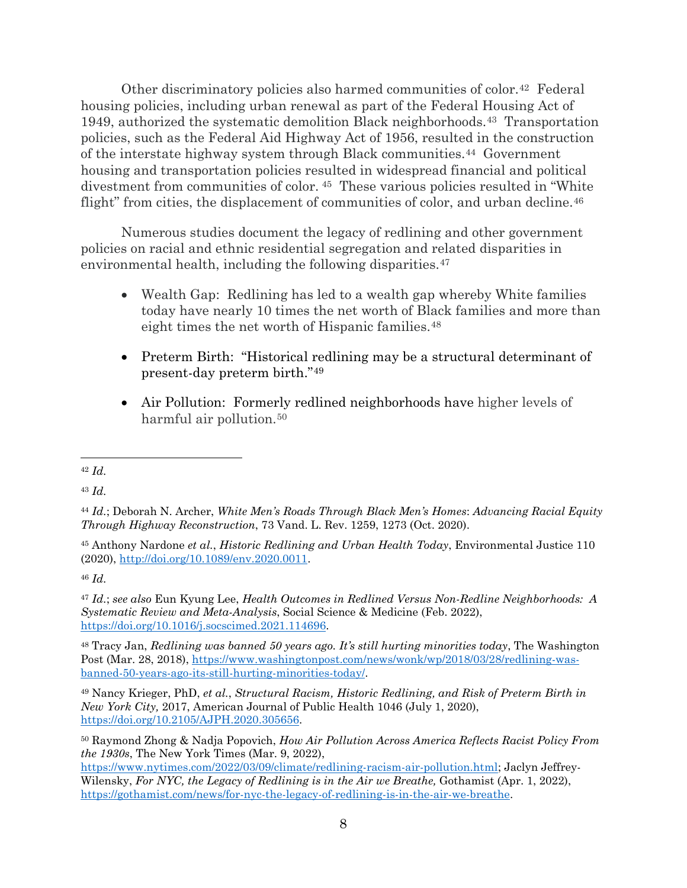Other discriminatory policies also harmed communities of color.[42](#page-7-0) Federal housing policies, including urban renewal as part of the Federal Housing Act of 1949, authorized the systematic demolition Black neighborhoods.[43](#page-7-1) Transportation policies, such as the Federal Aid Highway Act of 1956, resulted in the construction of the interstate highway system through Black communities.[44](#page-7-2) Government housing and transportation policies resulted in widespread financial and political divestment from communities of color. [45](#page-7-3) These various policies resulted in "White flight" from cities, the displacement of communities of color, and urban decline.<sup>[46](#page-7-4)</sup>

Numerous studies document the legacy of redlining and other government policies on racial and ethnic residential segregation and related disparities in environmental health, including the following disparities.<sup>[47](#page-7-5)</sup>

- Wealth Gap: Redlining has led to a wealth gap whereby White families today have nearly 10 times the net worth of Black families and more than eight times the net worth of Hispanic families.<sup>[48](#page-7-6)</sup>
- Preterm Birth: "Historical redlining may be a structural determinant of present-day preterm birth."[49](#page-7-7)
- Air Pollution: Formerly redlined neighborhoods have higher levels of harmful air pollution.<sup>[50](#page-7-8)</sup>

<span id="page-7-1"></span><sup>43</sup> *Id.*

<span id="page-7-4"></span><sup>46</sup> *Id.*

<span id="page-7-5"></span><sup>47</sup> *Id.*; *see also* Eun Kyung Lee, *Health Outcomes in Redlined Versus Non-Redline Neighborhoods: A Systematic Review and Meta-Analysis*, Social Science & Medicine (Feb. 2022), [https://doi.org/10.1016/j.socscimed.2021.114696.](https://doi.org/10.1016/j.socscimed.2021.114696)

<span id="page-7-6"></span><sup>48</sup> Tracy Jan, *Redlining was banned 50 years ago. It's still hurting minorities today*, The Washington Post (Mar. 28, 2018), [https://www.washingtonpost.com/news/wonk/wp/2018/03/28/redlining-was](https://www.washingtonpost.com/news/wonk/wp/2018/03/28/redlining-was-banned-50-years-ago-its-still-hurting-minorities-today/)[banned-50-years-ago-its-still-hurting-minorities-today/.](https://www.washingtonpost.com/news/wonk/wp/2018/03/28/redlining-was-banned-50-years-ago-its-still-hurting-minorities-today/)

<span id="page-7-7"></span><sup>49</sup> Nancy Krieger, PhD, *et al.*, *Structural Racism, Historic Redlining, and Risk of Preterm Birth in New York City,* 2017, American Journal of Public Health 1046 (July 1, 2020), [https://doi.org/10.2105/AJPH.2020.305656.](https://doi.org/10.2105/AJPH.2020.305656)

<span id="page-7-8"></span><sup>50</sup> Raymond Zhong & Nadja Popovich, *How Air Pollution Across America Reflects Racist Policy From the 1930s*, The New York Times (Mar. 9, 2022),

[https://www.nytimes.com/2022/03/09/climate/redlining-racism-air-pollution.html;](https://www.nytimes.com/2022/03/09/climate/redlining-racism-air-pollution.html) Jaclyn Jeffrey-Wilensky, *For NYC, the Legacy of Redlining is in the Air we Breathe,* Gothamist (Apr. 1, 2022), [https://gothamist.com/news/for-nyc-the-legacy-of-redlining-is-in-the-air-we-breathe.](https://gothamist.com/news/for-nyc-the-legacy-of-redlining-is-in-the-air-we-breathe)

<span id="page-7-0"></span><sup>42</sup> *Id.*

<span id="page-7-2"></span><sup>44</sup> *Id.*; Deborah N. Archer, *White Men's Roads Through Black Men's Homes*: *Advancing Racial Equity Through Highway Reconstruction*, 73 Vand. L. Rev. 1259, 1273 (Oct. 2020).

<span id="page-7-3"></span><sup>45</sup> Anthony Nardone *et al.*, *Historic Redlining and Urban Health Today*, Environmental Justice 110 (2020), [http://doi.org/10.1089/env.2020.0011.](http://doi.org/10.1089/env.2020.0011)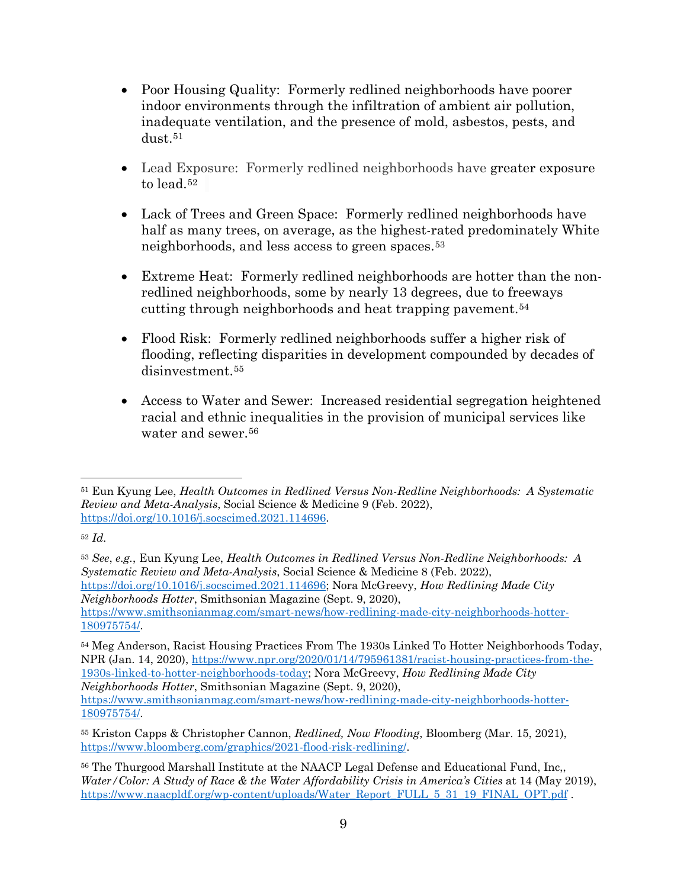- Poor Housing Quality: Formerly redlined neighborhoods have poorer indoor environments through the infiltration of ambient air pollution, inadequate ventilation, and the presence of mold, asbestos, pests, and  $dust.51$  $dust.51$
- Lead Exposure: Formerly redlined neighborhoods have greater exposure to lead.[52](#page-8-1)
- Lack of Trees and Green Space: Formerly redlined neighborhoods have half as many trees, on average, as the highest-rated predominately White neighborhoods, and less access to green spaces.[53](#page-8-2)
- Extreme Heat: Formerly redlined neighborhoods are hotter than the nonredlined neighborhoods, some by nearly 13 degrees, due to freeways cutting through neighborhoods and heat trapping pavement.[54](#page-8-3)
- Flood Risk: Formerly redlined neighborhoods suffer a higher risk of flooding, reflecting disparities in development compounded by decades of disinvestment.[55](#page-8-4)
- Access to Water and Sewer: Increased residential segregation heightened racial and ethnic inequalities in the provision of municipal services like water and sewer.[56](#page-8-5)

<span id="page-8-3"></span><sup>54</sup> Meg Anderson, Racist Housing Practices From The 1930s Linked To Hotter Neighborhoods Today, NPR (Jan. 14, 2020)[, https://www.npr.org/2020/01/14/795961381/racist-housing-practices-from-the-](https://www.npr.org/2020/01/14/795961381/racist-housing-practices-from-the-1930s-linked-to-hotter-neighborhoods-today)[1930s-linked-to-hotter-neighborhoods-today;](https://www.npr.org/2020/01/14/795961381/racist-housing-practices-from-the-1930s-linked-to-hotter-neighborhoods-today) Nora McGreevy, *How Redlining Made City Neighborhoods Hotter*, Smithsonian Magazine (Sept. 9, 2020), [https://www.smithsonianmag.com/smart-news/how-redlining-made-city-neighborhoods-hotter-](https://www.smithsonianmag.com/smart-news/how-redlining-made-city-neighborhoods-hotter-180975754/)[180975754/.](https://www.smithsonianmag.com/smart-news/how-redlining-made-city-neighborhoods-hotter-180975754/)

<span id="page-8-0"></span><sup>51</sup> Eun Kyung Lee, *Health Outcomes in Redlined Versus Non-Redline Neighborhoods: A Systematic Review and Meta-Analysis*, Social Science & Medicine 9 (Feb. 2022), [https://doi.org/10.1016/j.socscimed.2021.114696.](https://doi.org/10.1016/j.socscimed.2021.114696)

<span id="page-8-1"></span><sup>52</sup> *Id.*

<span id="page-8-2"></span><sup>53</sup> *See*, *e.g.*, Eun Kyung Lee, *Health Outcomes in Redlined Versus Non-Redline Neighborhoods: A Systematic Review and Meta-Analysis*, Social Science & Medicine 8 (Feb. 2022), [https://doi.org/10.1016/j.socscimed.2021.114696;](https://doi.org/10.1016/j.socscimed.2021.114696) Nora McGreevy, *How Redlining Made City Neighborhoods Hotter*, Smithsonian Magazine (Sept. 9, 2020), [https://www.smithsonianmag.com/smart-news/how-redlining-made-city-neighborhoods-hotter-](https://www.smithsonianmag.com/smart-news/how-redlining-made-city-neighborhoods-hotter-180975754/)[180975754/.](https://www.smithsonianmag.com/smart-news/how-redlining-made-city-neighborhoods-hotter-180975754/)

<span id="page-8-4"></span><sup>55</sup> Kriston Capps & Christopher Cannon, *Redlined, Now Flooding*, Bloomberg (Mar. 15, 2021), [https://www.bloomberg.com/graphics/2021-flood-risk-redlining/.](https://www.bloomberg.com/graphics/2021-flood-risk-redlining/)

<span id="page-8-5"></span><sup>&</sup>lt;sup>56</sup> The Thurgood Marshall Institute at the NAACP Legal Defense and Educational Fund, Inc., *Water/Color: A Study of Race & the Water Affordability Crisis in America's Cities* at 14 (May 2019), [https://www.naacpldf.org/wp-content/uploads/Water\\_Report\\_FULL\\_5\\_31\\_19\\_FINAL\\_OPT.pdf](https://www.naacpldf.org/wp-content/uploads/Water_Report_FULL_5_31_19_FINAL_OPT.pdf) .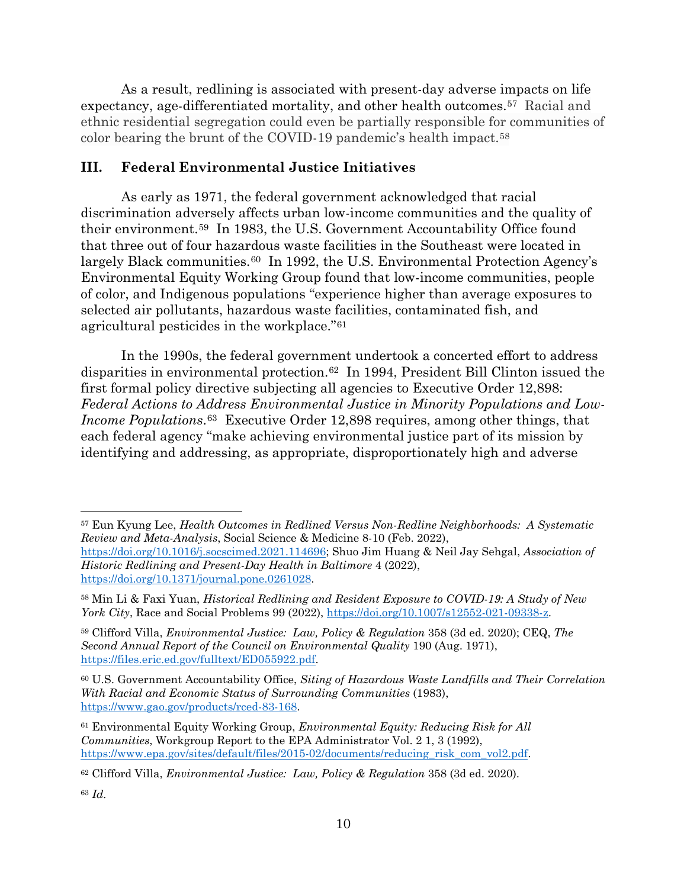As a result, redlining is associated with present-day adverse impacts on life expectancy, age-differentiated mortality, and other health outcomes.[57](#page-9-0) Racial and ethnic residential segregation could even be partially responsible for communities of color bearing the brunt of the COVID-19 pandemic's health impact.[58](#page-9-1)

# **III. Federal Environmental Justice Initiatives**

As early as 1971, the federal government acknowledged that racial discrimination adversely affects urban low-income communities and the quality of their environment.[59](#page-9-2) In 1983, the U.S. Government Accountability Office found that three out of four hazardous waste facilities in the Southeast were located in largely Black communities.<sup>[60](#page-9-3)</sup> In 1992, the U.S. Environmental Protection Agency's Environmental Equity Working Group found that low-income communities, people of color, and Indigenous populations "experience higher than average exposures to selected air pollutants, hazardous waste facilities, contaminated fish, and agricultural pesticides in the workplace."[61](#page-9-4)

In the 1990s, the federal government undertook a concerted effort to address disparities in environmental protection.[62](#page-9-5) In 1994, President Bill Clinton issued the first formal policy directive subjecting all agencies to Executive Order 12,898: *Federal Actions to Address Environmental Justice in Minority Populations and Low-Income Populations*.<sup>63</sup> Executive Order 12,898 requires, among other things, that each federal agency "make achieving environmental justice part of its mission by identifying and addressing, as appropriate, disproportionately high and adverse

<span id="page-9-0"></span><sup>57</sup> Eun Kyung Lee, *Health Outcomes in Redlined Versus Non-Redline Neighborhoods: A Systematic Review and Meta-Analysis*, Social Science & Medicine 8-10 (Feb. 2022),

[https://doi.org/10.1016/j.socscimed.2021.114696;](https://doi.org/10.1016/j.socscimed.2021.114696) Shuo Jim Huang & Neil Jay Sehgal, *Association of Historic Redlining and Present-Day Health in Baltimore* 4 (2022), [https://doi.org/10.1371/journal.pone.0261028.](https://doi.org/10.1371/journal.pone.0261028)

<span id="page-9-1"></span><sup>58</sup> Min Li & Faxi Yuan, *Historical Redlining and Resident Exposure to COVID-19: A Study of New York City*, Race and Social Problems 99 (2022), [https://doi.org/10.1007/s12552-021-09338-z.](https://doi.org/10.1007/s12552-021-09338-z)

<span id="page-9-2"></span><sup>59</sup> Clifford Villa, *Environmental Justice: Law, Policy & Regulation* 358 (3d ed. 2020); CEQ, *The Second Annual Report of the Council on Environmental Quality* 190 (Aug. 1971), [https://files.eric.ed.gov/fulltext/ED055922.pdf.](https://files.eric.ed.gov/fulltext/ED055922.pdf)

<span id="page-9-3"></span><sup>60</sup> U.S. Government Accountability Office, *Siting of Hazardous Waste Landfills and Their Correlation With Racial and Economic Status of Surrounding Communities* (1983), [https://www.gao.gov/products/rced-83-168.](https://www.gao.gov/products/rced-83-168)

<span id="page-9-4"></span><sup>61</sup> Environmental Equity Working Group, *Environmental Equity: Reducing Risk for All Communities*, Workgroup Report to the EPA Administrator Vol. 2 1, 3 (1992), [https://www.epa.gov/sites/default/files/2015-02/documents/reducing\\_risk\\_com\\_vol2.pdf.](https://www.epa.gov/sites/default/files/2015-02/documents/reducing_risk_com_vol2.pdf)

<span id="page-9-5"></span><sup>62</sup> Clifford Villa, *Environmental Justice: Law, Policy & Regulation* 358 (3d ed. 2020).

<span id="page-9-6"></span><sup>63</sup> *Id.*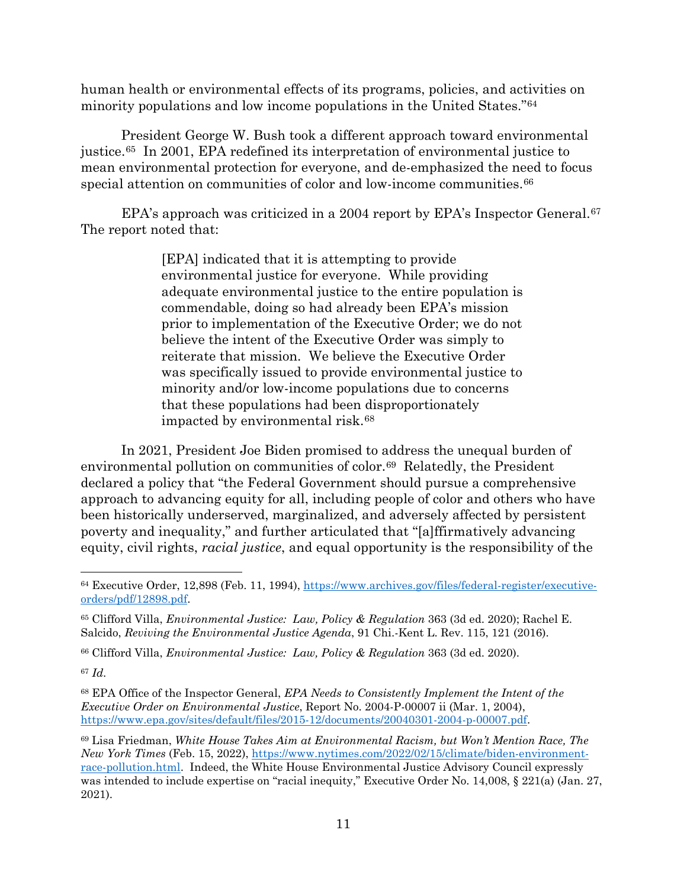human health or environmental effects of its programs, policies, and activities on minority populations and low income populations in the United States."[64](#page-10-0)

President George W. Bush took a different approach toward environmental justice.[65](#page-10-1) In 2001, EPA redefined its interpretation of environmental justice to mean environmental protection for everyone, and de-emphasized the need to focus special attention on communities of color and low-income communities.<sup>[66](#page-10-2)</sup>

EPA's approach was criticized in a 2004 report by EPA's Inspector General.<sup>67</sup> The report noted that:

> [EPA] indicated that it is attempting to provide environmental justice for everyone. While providing adequate environmental justice to the entire population is commendable, doing so had already been EPA's mission prior to implementation of the Executive Order; we do not believe the intent of the Executive Order was simply to reiterate that mission. We believe the Executive Order was specifically issued to provide environmental justice to minority and/or low-income populations due to concerns that these populations had been disproportionately impacted by environmental risk.[68](#page-10-4)

In 2021, President Joe Biden promised to address the unequal burden of environmental pollution on communities of color.[69](#page-10-5) Relatedly, the President declared a policy that "the Federal Government should pursue a comprehensive approach to advancing equity for all, including people of color and others who have been historically underserved, marginalized, and adversely affected by persistent poverty and inequality," and further articulated that "[a]ffirmatively advancing equity, civil rights, *racial justice*, and equal opportunity is the responsibility of the

<span id="page-10-2"></span><sup>66</sup> Clifford Villa, *Environmental Justice: Law, Policy & Regulation* 363 (3d ed. 2020).

<span id="page-10-3"></span><sup>67</sup> *Id.*

<span id="page-10-4"></span><sup>68</sup> EPA Office of the Inspector General, *EPA Needs to Consistently Implement the Intent of the Executive Order on Environmental Justice*, Report No. 2004-P-00007 ii (Mar. 1, 2004), [https://www.epa.gov/sites/default/files/2015-12/documents/20040301-2004-p-00007.pdf.](https://www.epa.gov/sites/default/files/2015-12/documents/20040301-2004-p-00007.pdf)

<span id="page-10-0"></span><sup>64</sup> Executive Order, 12,898 (Feb. 11, 1994), [https://www.archives.gov/files/federal-register/executive](https://www.archives.gov/files/federal-register/executive-orders/pdf/12898.pdf)[orders/pdf/12898.pdf.](https://www.archives.gov/files/federal-register/executive-orders/pdf/12898.pdf)

<span id="page-10-1"></span><sup>65</sup> Clifford Villa, *Environmental Justice: Law, Policy & Regulation* 363 (3d ed. 2020); Rachel E. Salcido, *Reviving the Environmental Justice Agenda*, 91 Chi.-Kent L. Rev. 115, 121 (2016).

<span id="page-10-5"></span><sup>69</sup> Lisa Friedman, *White House Takes Aim at Environmental Racism, but Won't Mention Race, The New York Times* (Feb. 15, 2022), [https://www.nytimes.com/2022/02/15/climate/biden-environment](https://www.nytimes.com/2022/02/15/climate/biden-environment-race-pollution.html)[race-pollution.html.](https://www.nytimes.com/2022/02/15/climate/biden-environment-race-pollution.html) Indeed, the White House Environmental Justice Advisory Council expressly was intended to include expertise on "racial inequity," Executive Order No. 14,008, § 221(a) (Jan. 27, 2021).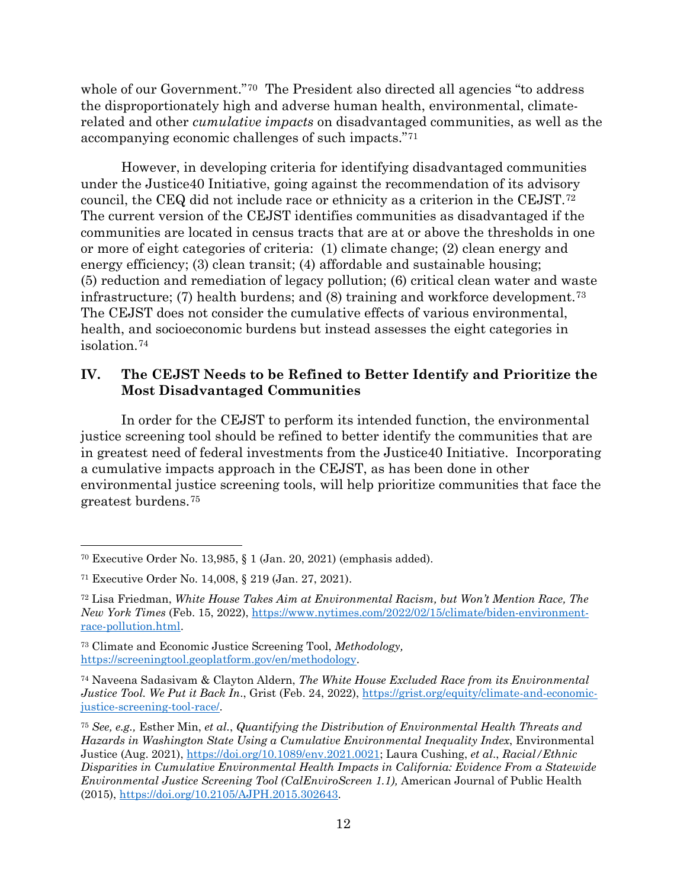whole of our Government."<sup>70</sup> The President also directed all agencies "to address" the disproportionately high and adverse human health, environmental, climaterelated and other *cumulative impacts* on disadvantaged communities, as well as the accompanying economic challenges of such impacts."[71](#page-11-1)

However, in developing criteria for identifying disadvantaged communities under the Justice40 Initiative, going against the recommendation of its advisory council, the CEQ did not include race or ethnicity as a criterion in the CEJST.[72](#page-11-2) The current version of the CEJST identifies communities as disadvantaged if the communities are located in census tracts that are at or above the thresholds in one or more of eight categories of criteria: (1) climate change; (2) clean energy and energy efficiency; (3) clean transit; (4) affordable and sustainable housing; (5) reduction and remediation of legacy pollution; (6) critical clean water and waste infrastructure; (7) health burdens; and (8) training and workforce development.<sup>[73](#page-11-3)</sup> The CEJST does not consider the cumulative effects of various environmental, health, and socioeconomic burdens but instead assesses the eight categories in isolation.[74](#page-11-4)

# **IV. The CEJST Needs to be Refined to Better Identify and Prioritize the Most Disadvantaged Communities**

In order for the CEJST to perform its intended function, the environmental justice screening tool should be refined to better identify the communities that are in greatest need of federal investments from the Justice40 Initiative. Incorporating a cumulative impacts approach in the CEJST, as has been done in other environmental justice screening tools, will help prioritize communities that face the greatest burdens.[75](#page-11-5)

<span id="page-11-0"></span><sup>70</sup> Executive Order No. 13,985, § 1 (Jan. 20, 2021) (emphasis added).

<span id="page-11-1"></span><sup>71</sup> Executive Order No. 14,008, § 219 (Jan. 27, 2021).

<span id="page-11-2"></span><sup>72</sup> Lisa Friedman, *White House Takes Aim at Environmental Racism, but Won't Mention Race, The New York Times* (Feb. 15, 2022), [https://www.nytimes.com/2022/02/15/climate/biden-environment](https://www.nytimes.com/2022/02/15/climate/biden-environment-race-pollution.html)[race-pollution.html.](https://www.nytimes.com/2022/02/15/climate/biden-environment-race-pollution.html)

<span id="page-11-3"></span><sup>73</sup> Climate and Economic Justice Screening Tool, *Methodology,*  [https://screeningtool.geoplatform.gov/en/methodology.](https://screeningtool.geoplatform.gov/en/methodology)

<span id="page-11-4"></span><sup>74</sup> Naveena Sadasivam & Clayton Aldern, *The White House Excluded Race from its Environmental Justice Tool. We Put it Back In.*, Grist (Feb. 24, 2022), [https://grist.org/equity/climate-and-economic](https://grist.org/equity/climate-and-economic-justice-screening-tool-race/)[justice-screening-tool-race/.](https://grist.org/equity/climate-and-economic-justice-screening-tool-race/)

<span id="page-11-5"></span><sup>75</sup> *See, e.g.,* Esther Min, *et al.*, *Quantifying the Distribution of Environmental Health Threats and Hazards in Washington State Using a Cumulative Environmental Inequality Index*, Environmental Justice (Aug. 2021), [https://doi.org/10.1089/env.2021.0021;](https://doi.org/10.1089/env.2021.0021) Laura Cushing, *et al*., *Racial/Ethnic Disparities in Cumulative Environmental Health Impacts in California: Evidence From a Statewide Environmental Justice Screening Tool (CalEnviroScreen 1.1),* American Journal of Public Health (2015), [https://doi.org/10.2105/AJPH.2015.302643.](https://doi.org/10.2105/AJPH.2015.302643)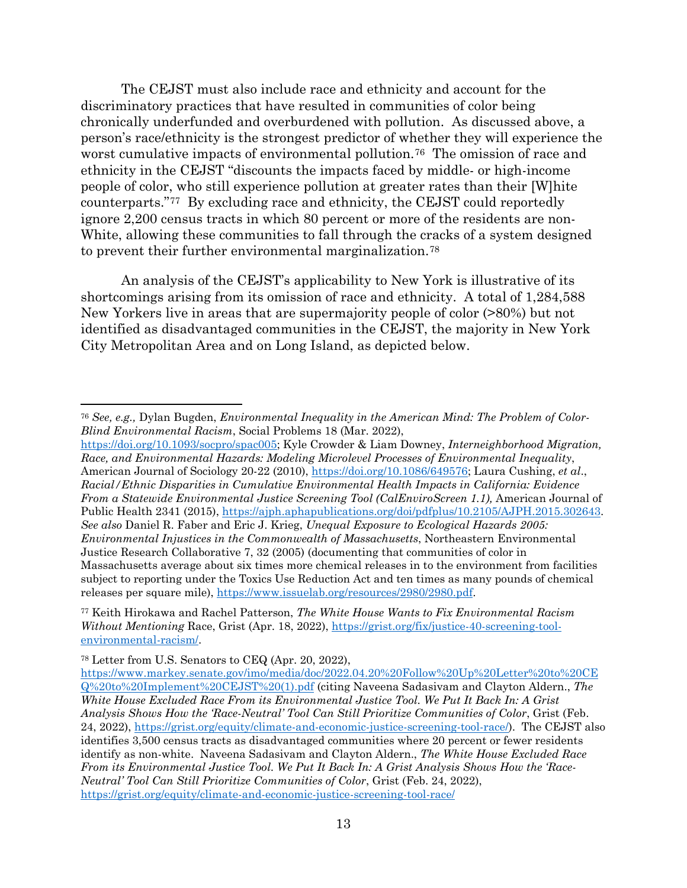The CEJST must also include race and ethnicity and account for the discriminatory practices that have resulted in communities of color being chronically underfunded and overburdened with pollution. As discussed above, a person's race/ethnicity is the strongest predictor of whether they will experience the worst cumulative impacts of environmental pollution.<sup>76</sup> The omission of race and ethnicity in the CEJST "discounts the impacts faced by middle- or high-income people of color, who still experience pollution at greater rates than their [W]hite counterparts."[77](#page-12-1) By excluding race and ethnicity, the CEJST could reportedly ignore 2,200 census tracts in which 80 percent or more of the residents are non-White, allowing these communities to fall through the cracks of a system designed to prevent their further environmental marginalization.[78](#page-12-2) 

An analysis of the CEJST's applicability to New York is illustrative of its shortcomings arising from its omission of race and ethnicity. A total of 1,284,588 New Yorkers live in areas that are supermajority people of color (>80%) but not identified as disadvantaged communities in the CEJST, the majority in New York City Metropolitan Area and on Long Island, as depicted below.

[https://doi.org/10.1093/socpro/spac005;](https://doi.org/10.1093/socpro/spac005) Kyle Crowder & Liam Downey, *Interneighborhood Migration, Race, and Environmental Hazards: Modeling Microlevel Processes of Environmental Inequality*, American Journal of Sociology 20-22 (2010), [https://doi.org/10.1086/649576;](https://doi.org/10.1086/649576) Laura Cushing, *et al*., *Racial/Ethnic Disparities in Cumulative Environmental Health Impacts in California: Evidence From a Statewide Environmental Justice Screening Tool (CalEnviroScreen 1.1),* American Journal of Public Health 2341 (2015), [https://ajph.aphapublications.org/doi/pdfplus/10.2105/AJPH.2015.302643.](https://ajph.aphapublications.org/doi/pdfplus/10.2105/AJPH.2015.302643) *See also* Daniel R. Faber and Eric J. Krieg, *Unequal Exposure to Ecological Hazards 2005: Environmental Injustices in the Commonwealth of Massachusetts*, Northeastern Environmental Justice Research Collaborative 7, 32 (2005) (documenting that communities of color in Massachusetts average about six times more chemical releases in to the environment from facilities subject to reporting under the Toxics Use Reduction Act and ten times as many pounds of chemical releases per square mile), [https://www.issuelab.org/resources/2980/2980.pdf.](https://www.issuelab.org/resources/2980/2980.pdf)

<span id="page-12-0"></span><sup>76</sup> *See, e.g.,* Dylan Bugden, *Environmental Inequality in the American Mind: The Problem of Color-Blind Environmental Racism*, Social Problems 18 (Mar. 2022),

<span id="page-12-1"></span><sup>77</sup> Keith Hirokawa and Rachel Patterson, *The White House Wants to Fix Environmental Racism Without Mentioning* Race, Grist (Apr. 18, 2022), https://grist.org/fix/justice-40-screening-toolenvironmental-racism/.

<span id="page-12-2"></span><sup>78</sup> Letter from U.S. Senators to CEQ (Apr. 20, 2022),

[https://www.markey.senate.gov/imo/media/doc/2022.04.20%20Follow%20Up%20Letter%20to%20CE](https://www.markey.senate.gov/imo/media/doc/2022.04.20%20Follow%20Up%20Letter%20to%20CEQ%20to%20Implement%20CEJST%20(1).pdf) [Q%20to%20Implement%20CEJST%20\(1\).pdf](https://www.markey.senate.gov/imo/media/doc/2022.04.20%20Follow%20Up%20Letter%20to%20CEQ%20to%20Implement%20CEJST%20(1).pdf) (citing Naveena Sadasivam and Clayton Aldern., *The White House Excluded Race From its Environmental Justice Tool. We Put It Back In: A Grist Analysis Shows How the 'Race-Neutral' Tool Can Still Prioritize Communities of Color*, Grist (Feb. 24, 2022), [https://grist.org/equity/climate-and-economic-justice-screening-tool-race/\)](https://grist.org/equity/climate-and-economic-justice-screening-tool-race/). The CEJST also identifies 3,500 census tracts as disadvantaged communities where 20 percent or fewer residents identify as non-white. Naveena Sadasivam and Clayton Aldern., *The White House Excluded Race From its Environmental Justice Tool. We Put It Back In: A Grist Analysis Shows How the 'Race-Neutral' Tool Can Still Prioritize Communities of Color*, Grist (Feb. 24, 2022), <https://grist.org/equity/climate-and-economic-justice-screening-tool-race/>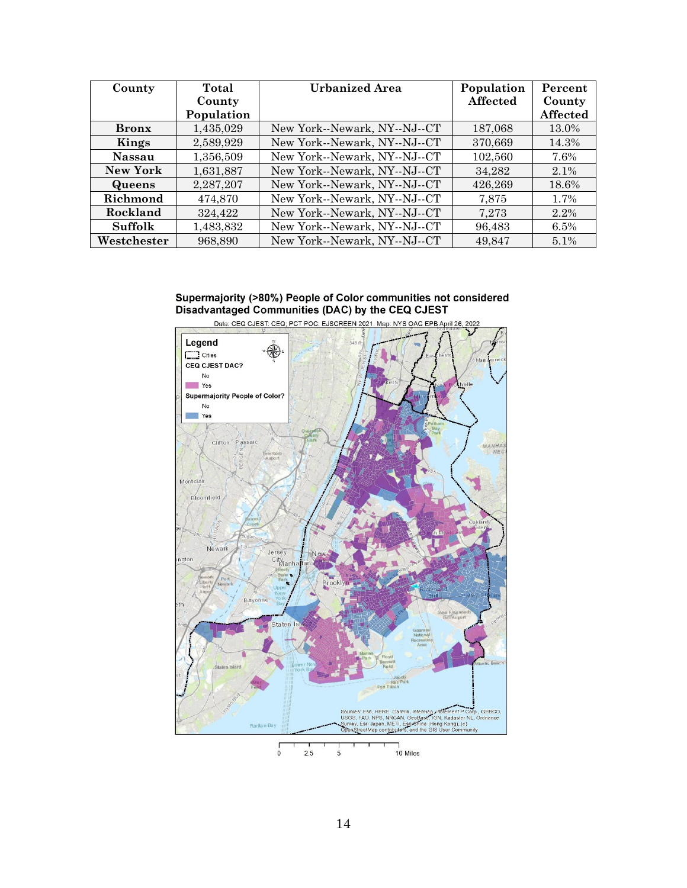| County          | Total      | <b>Urbanized Area</b>        | Population | Percent  |
|-----------------|------------|------------------------------|------------|----------|
|                 | County     |                              | Affected   | County   |
|                 | Population |                              |            | Affected |
| <b>Bronx</b>    | 1,435,029  | New York--Newark, NY--NJ--CT | 187,068    | 13.0%    |
| Kings           | 2,589,929  | New York--Newark, NY--NJ--CT | 370,669    | 14.3%    |
| <b>Nassau</b>   | 1,356,509  | New York--Newark, NY--NJ--CT | 102,560    | 7.6%     |
| <b>New York</b> | 1,631,887  | New York--Newark, NY--NJ--CT | 34,282     | 2.1%     |
| Queens          | 2,287,207  | New York--Newark, NY--NJ--CT | 426,269    | 18.6%    |
| Richmond        | 474,870    | New York--Newark, NY--NJ--CT | 7,875      | 1.7%     |
| Rockland        | 324.422    | New York--Newark, NY--NJ--CT | 7,273      | 2.2%     |
| <b>Suffolk</b>  | 1,483,832  | New York--Newark, NY--NJ--CT | 96,483     | 6.5%     |
| Westchester     | 968,890    | New York--Newark, NY--NJ--CT | 49,847     | 5.1%     |

# Supermajority (>80%) People of Color communities not considered<br>Disadvantaged Communities (DAC) by the CEQ CJEST

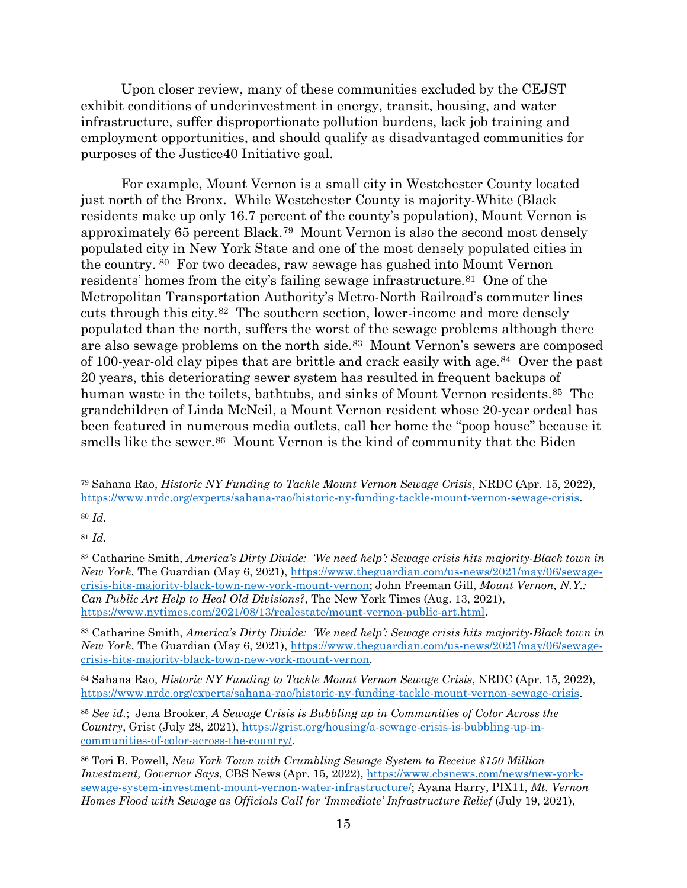Upon closer review, many of these communities excluded by the CEJST exhibit conditions of underinvestment in energy, transit, housing, and water infrastructure, suffer disproportionate pollution burdens, lack job training and employment opportunities, and should qualify as disadvantaged communities for purposes of the Justice40 Initiative goal.

For example, Mount Vernon is a small city in Westchester County located just north of the Bronx. While Westchester County is majority-White (Black residents make up only 16.7 percent of the county's population), Mount Vernon is approximately 65 percent Black.[79](#page-14-0) Mount Vernon is also the second most densely populated city in New York State and one of the most densely populated cities in the country. [80](#page-14-1) For two decades, raw sewage has gushed into Mount Vernon residents' homes from the city's failing sewage infrastructure.<sup>81</sup> One of the Metropolitan Transportation Authority's Metro-North Railroad's commuter lines cuts through this city.[82](#page-14-3) The southern section, lower-income and more densely populated than the north, suffers the worst of the sewage problems although there are also sewage problems on the north side.[83](#page-14-4) Mount Vernon's sewers are composed of 100-year-old clay pipes that are brittle and crack easily with age.[84](#page-14-5) Over the past 20 years, this deteriorating sewer system has resulted in frequent backups of human waste in the toilets, bathtubs, and sinks of Mount Vernon residents.<sup>85</sup> The grandchildren of Linda McNeil, a Mount Vernon resident whose 20-year ordeal has been featured in numerous media outlets, call her home the "poop house" because it smells like the sewer.<sup>86</sup> Mount Vernon is the kind of community that the Biden

<span id="page-14-1"></span><sup>80</sup> *Id.*

<span id="page-14-2"></span><sup>81</sup> *Id.*

<span id="page-14-0"></span><sup>79</sup> Sahana Rao, *Historic NY Funding to Tackle Mount Vernon Sewage Crisis*, NRDC (Apr. 15, 2022), [https://www.nrdc.org/experts/sahana-rao/historic-ny-funding-tackle-mount-vernon-sewage-crisis.](https://www.nrdc.org/experts/sahana-rao/historic-ny-funding-tackle-mount-vernon-sewage-crisis)

<span id="page-14-3"></span><sup>82</sup> Catharine Smith, *America's Dirty Divide: 'We need help': Sewage crisis hits majority-Black town in New York*, The Guardian (May 6, 2021), [https://www.theguardian.com/us-news/2021/may/06/sewage](https://www.theguardian.com/us-news/2021/may/06/sewage-crisis-hits-majority-black-town-new-york-mount-vernon)[crisis-hits-majority-black-town-new-york-mount-vernon;](https://www.theguardian.com/us-news/2021/may/06/sewage-crisis-hits-majority-black-town-new-york-mount-vernon) John Freeman Gill, *Mount Vernon, N.Y.: Can Public Art Help to Heal Old Divisions?*, The New York Times (Aug. 13, 2021), [https://www.nytimes.com/2021/08/13/realestate/mount-vernon-public-art.html.](https://www.nytimes.com/2021/08/13/realestate/mount-vernon-public-art.html)

<span id="page-14-4"></span><sup>83</sup> Catharine Smith, *America's Dirty Divide: 'We need help': Sewage crisis hits majority-Black town in New York*, The Guardian (May 6, 2021), [https://www.theguardian.com/us-news/2021/may/06/sewage](https://www.theguardian.com/us-news/2021/may/06/sewage-crisis-hits-majority-black-town-new-york-mount-vernon)[crisis-hits-majority-black-town-new-york-mount-vernon.](https://www.theguardian.com/us-news/2021/may/06/sewage-crisis-hits-majority-black-town-new-york-mount-vernon)

<span id="page-14-5"></span><sup>84</sup> Sahana Rao, *Historic NY Funding to Tackle Mount Vernon Sewage Crisis*, NRDC (Apr. 15, 2022), [https://www.nrdc.org/experts/sahana-rao/historic-ny-funding-tackle-mount-vernon-sewage-crisis.](https://www.nrdc.org/experts/sahana-rao/historic-ny-funding-tackle-mount-vernon-sewage-crisis)

<span id="page-14-6"></span><sup>85</sup> *See id.*; Jena Brooker, *A Sewage Crisis is Bubbling up in Communities of Color Across the Country*, Grist (July 28, 2021)[, https://grist.org/housing/a-sewage-crisis-is-bubbling-up-in](https://grist.org/housing/a-sewage-crisis-is-bubbling-up-in-communities-of-color-across-the-country/)[communities-of-color-across-the-country/.](https://grist.org/housing/a-sewage-crisis-is-bubbling-up-in-communities-of-color-across-the-country/)

<span id="page-14-7"></span><sup>86</sup> Tori B. Powell, *New York Town with Crumbling Sewage System to Receive \$150 Million Investment, Governor Says*, CBS News (Apr. 15, 2022), [https://www.cbsnews.com/news/new-york](https://www.cbsnews.com/news/new-york-sewage-system-investment-mount-vernon-water-infrastructure/)[sewage-system-investment-mount-vernon-water-infrastructure/;](https://www.cbsnews.com/news/new-york-sewage-system-investment-mount-vernon-water-infrastructure/) Ayana Harry, PIX11, *Mt. Vernon Homes Flood with Sewage as Officials Call for 'Immediate' Infrastructure Relief* (July 19, 2021),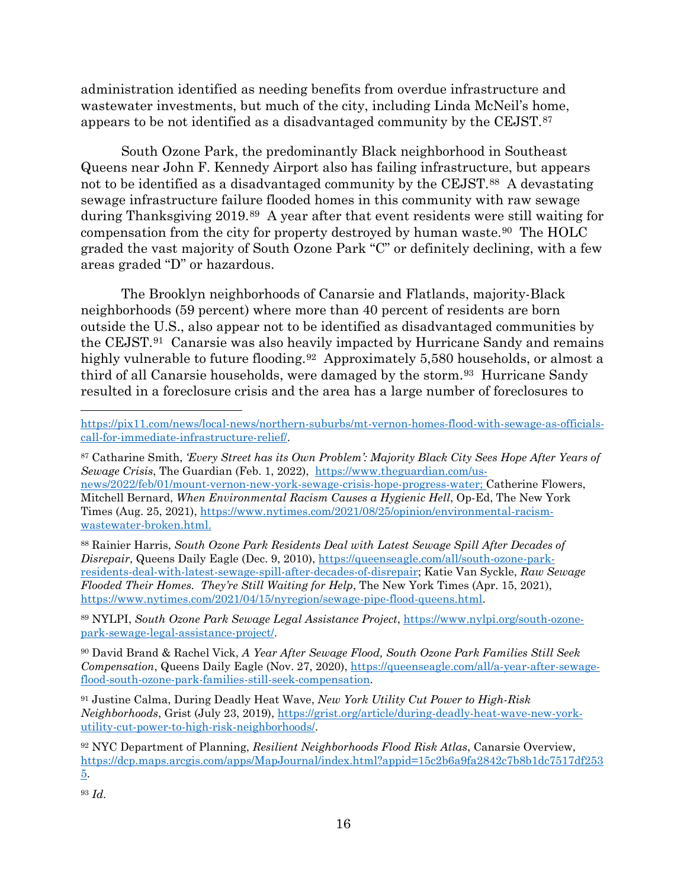administration identified as needing benefits from overdue infrastructure and wastewater investments, but much of the city, including Linda McNeil's home, appears to be not identified as a disadvantaged community by the CEJST.[87](#page-15-0)

South Ozone Park, the predominantly Black neighborhood in Southeast Queens near John F. Kennedy Airport also has failing infrastructure, but appears not to be identified as a disadvantaged community by the CEJST.[88](#page-15-1) A devastating sewage infrastructure failure flooded homes in this community with raw sewage during Thanksgiving 2019.[89](#page-15-2) A year after that event residents were still waiting for compensation from the city for property destroyed by human waste.[90](#page-15-3) The HOLC graded the vast majority of South Ozone Park "C" or definitely declining, with a few areas graded "D" or hazardous.

The Brooklyn neighborhoods of Canarsie and Flatlands, majority-Black neighborhoods (59 percent) where more than 40 percent of residents are born outside the U.S., also appear not to be identified as disadvantaged communities by the CEJST.[91](#page-15-4) Canarsie was also heavily impacted by Hurricane Sandy and remains highly vulnerable to future flooding.<sup>[92](#page-15-5)</sup> Approximately 5,580 households, or almost a third of all Canarsie households, were damaged by the storm.<sup>[93](#page-15-6)</sup> Hurricane Sandy resulted in a foreclosure crisis and the area has a large number of foreclosures to

<span id="page-15-1"></span><sup>88</sup> Rainier Harris, *South Ozone Park Residents Deal with Latest Sewage Spill After Decades of Disrepair*, Queens Daily Eagle (Dec. 9, 2010), [https://queenseagle.com/all/south-ozone-park](https://queenseagle.com/all/south-ozone-park-residents-deal-with-latest-sewage-spill-after-decades-of-disrepair)[residents-deal-with-latest-sewage-spill-after-decades-of-disrepair;](https://queenseagle.com/all/south-ozone-park-residents-deal-with-latest-sewage-spill-after-decades-of-disrepair) Katie Van Syckle, *Raw Sewage Flooded Their Homes. They're Still Waiting for Help*, The New York Times (Apr. 15, 2021), [https://www.nytimes.com/2021/04/15/nyregion/sewage-pipe-flood-queens.html.](https://www.nytimes.com/2021/04/15/nyregion/sewage-pipe-flood-queens.html)

<span id="page-15-2"></span><sup>89</sup> NYLPI, *South Ozone Park Sewage Legal Assistance Project*[, https://www.nylpi.org/south-ozone](https://www.nylpi.org/south-ozone-park-sewage-legal-assistance-project/)[park-sewage-legal-assistance-project/.](https://www.nylpi.org/south-ozone-park-sewage-legal-assistance-project/)

<span id="page-15-3"></span><sup>90</sup> David Brand & Rachel Vick, *A Year After Sewage Flood, South Ozone Park Families Still Seek Compensation*, Queens Daily Eagle (Nov. 27, 2020), [https://queenseagle.com/all/a-year-after-sewage](https://queenseagle.com/all/a-year-after-sewage-flood-south-ozone-park-families-still-seek-compensation)[flood-south-ozone-park-families-still-seek-compensation.](https://queenseagle.com/all/a-year-after-sewage-flood-south-ozone-park-families-still-seek-compensation)

<span id="page-15-4"></span><sup>91</sup> Justine Calma, During Deadly Heat Wave, *New York Utility Cut Power to High-Risk Neighborhoods*, Grist (July 23, 2019), [https://grist.org/article/during-deadly-heat-wave-new-york](https://grist.org/article/during-deadly-heat-wave-new-york-utility-cut-power-to-high-risk-neighborhoods/)[utility-cut-power-to-high-risk-neighborhoods/.](https://grist.org/article/during-deadly-heat-wave-new-york-utility-cut-power-to-high-risk-neighborhoods/)

<span id="page-15-6"></span><sup>93</sup> *Id.*

[https://pix11.com/news/local-news/northern-suburbs/mt-vernon-homes-flood-with-sewage-as-officials](https://pix11.com/news/local-news/northern-suburbs/mt-vernon-homes-flood-with-sewage-as-officials-call-for-immediate-infrastructure-relief/)[call-for-immediate-infrastructure-relief/.](https://pix11.com/news/local-news/northern-suburbs/mt-vernon-homes-flood-with-sewage-as-officials-call-for-immediate-infrastructure-relief/)

<span id="page-15-0"></span><sup>87</sup> Catharine Smith, *'Every Street has its Own Problem': Majority Black City Sees Hope After Years of Sewage Crisis*, The Guardian (Feb. 1, 2022), [https://www.theguardian.com/us](https://www.theguardian.com/us-news/2022/feb/01/mount-vernon-new-york-sewage-crisis-hope-progress-water)[news/2022/feb/01/mount-vernon-new-york-sewage-crisis-hope-progress-water;](https://www.theguardian.com/us-news/2022/feb/01/mount-vernon-new-york-sewage-crisis-hope-progress-water) Catherine Flowers, Mitchell Bernard, *When Environmental Racism Causes a Hygienic Hell*, Op-Ed, The New York Times (Aug. 25, 2021), [https://www.nytimes.com/2021/08/25/opinion/environmental-racism](https://www.nytimes.com/2021/08/25/opinion/environmental-racism-wastewater-broken.html)[wastewater-broken.html.](https://www.nytimes.com/2021/08/25/opinion/environmental-racism-wastewater-broken.html)

<span id="page-15-5"></span><sup>92</sup> NYC Department of Planning, *Resilient Neighborhoods Flood Risk Atlas*, Canarsie Overview, [https://dcp.maps.arcgis.com/apps/MapJournal/index.html?appid=15c2b6a9fa2842c7b8b1dc7517df253](https://dcp.maps.arcgis.com/apps/MapJournal/index.html?appid=15c2b6a9fa2842c7b8b1dc7517df2535) [5.](https://dcp.maps.arcgis.com/apps/MapJournal/index.html?appid=15c2b6a9fa2842c7b8b1dc7517df2535)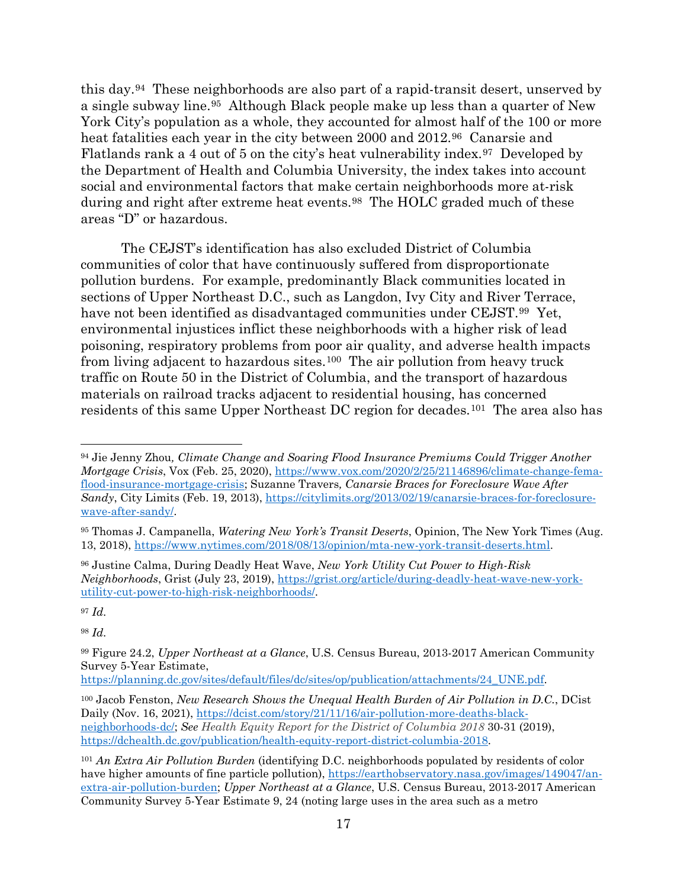this day.[94](#page-16-0) These neighborhoods are also part of a rapid-transit desert, unserved by a single subway line.[95](#page-16-1) Although Black people make up less than a quarter of New York City's population as a whole, they accounted for almost half of the 100 or more heat fatalities each year in the city between 2000 and 2012.<sup>96</sup> Canarsie and Flatlands rank a 4 out of 5 on the city's heat vulnerability index.[97](#page-16-3) Developed by the Department of Health and Columbia University, the index takes into account social and environmental factors that make certain neighborhoods more at-risk during and right after extreme heat events.<sup>98</sup> The HOLC graded much of these areas "D" or hazardous.

The CEJST's identification has also excluded District of Columbia communities of color that have continuously suffered from disproportionate pollution burdens. For example, predominantly Black communities located in sections of Upper Northeast D.C., such as Langdon, Ivy City and River Terrace, have not been identified as disadvantaged communities under CEJST.<sup>99</sup> Yet, environmental injustices inflict these neighborhoods with a higher risk of lead poisoning, respiratory problems from poor air quality, and adverse health impacts from living adjacent to hazardous sites.[100](#page-16-6) The air pollution from heavy truck traffic on Route 50 in the District of Columbia, and the transport of hazardous materials on railroad tracks adjacent to residential housing, has concerned residents of this same Upper Northeast DC region for decades.[101](#page-16-7) The area also has

<span id="page-16-3"></span><sup>97</sup> *Id.*

<span id="page-16-4"></span><sup>98</sup> *Id.*

[https://planning.dc.gov/sites/default/files/dc/sites/op/publication/attachments/24\\_UNE.pdf.](https://planning.dc.gov/sites/default/files/dc/sites/op/publication/attachments/24_UNE.pdf)

<span id="page-16-0"></span><sup>94</sup> Jie Jenny Zhou*, Climate Change and Soaring Flood Insurance Premiums Could Trigger Another Mortgage Crisis*, Vox (Feb. 25, 2020), [https://www.vox.com/2020/2/25/21146896/climate-change-fema](https://www.vox.com/2020/2/25/21146896/climate-change-fema-flood-insurance-mortgage-crisis)[flood-insurance-mortgage-crisis;](https://www.vox.com/2020/2/25/21146896/climate-change-fema-flood-insurance-mortgage-crisis) Suzanne Travers*, Canarsie Braces for Foreclosure Wave After Sandy*, City Limits (Feb. 19, 2013), [https://citylimits.org/2013/02/19/canarsie-braces-for-foreclosure](https://citylimits.org/2013/02/19/canarsie-braces-for-foreclosure-wave-after-sandy/)[wave-after-sandy/.](https://citylimits.org/2013/02/19/canarsie-braces-for-foreclosure-wave-after-sandy/)

<span id="page-16-1"></span><sup>95</sup> Thomas J. Campanella, *Watering New York's Transit Deserts*, Opinion, The New York Times (Aug. 13, 2018), [https://www.nytimes.com/2018/08/13/opinion/mta-new-york-transit-deserts.html.](https://www.nytimes.com/2018/08/13/opinion/mta-new-york-transit-deserts.html)

<span id="page-16-2"></span><sup>96</sup> Justine Calma, During Deadly Heat Wave, *New York Utility Cut Power to High-Risk Neighborhoods*, Grist (July 23, 2019), [https://grist.org/article/during-deadly-heat-wave-new-york](https://grist.org/article/during-deadly-heat-wave-new-york-utility-cut-power-to-high-risk-neighborhoods/)[utility-cut-power-to-high-risk-neighborhoods/.](https://grist.org/article/during-deadly-heat-wave-new-york-utility-cut-power-to-high-risk-neighborhoods/)

<span id="page-16-5"></span><sup>99</sup> Figure 24.2, *Upper Northeast at a Glance*, U.S. Census Bureau, 2013-2017 American Community Survey 5-Year Estimate,

<span id="page-16-6"></span><sup>100</sup> Jacob Fenston, *New Research Shows the Unequal Health Burden of Air Pollution in D.C.*, DCist Daily (Nov. 16, 2021), [https://dcist.com/story/21/11/16/air-pollution-more-deaths-black](https://dcist.com/story/21/11/16/air-pollution-more-deaths-black-neighborhoods-dc/)[neighborhoods-dc/;](https://dcist.com/story/21/11/16/air-pollution-more-deaths-black-neighborhoods-dc/) *See Health Equity Report for the District of Columbia 2018* 30-31 (2019), [https://dchealth.dc.gov/publication/health-equity-report-district-columbia-2018.](https://dchealth.dc.gov/publication/health-equity-report-district-columbia-2018)

<span id="page-16-7"></span><sup>101</sup> *An Extra Air Pollution Burden* (identifying D.C. neighborhoods populated by residents of color have higher amounts of fine particle pollution), [https://earthobservatory.nasa.gov/images/149047/an](https://earthobservatory.nasa.gov/images/149047/an-extra-air-pollution-burden)[extra-air-pollution-burden;](https://earthobservatory.nasa.gov/images/149047/an-extra-air-pollution-burden) *Upper Northeast at a Glance*, U.S. Census Bureau, 2013-2017 American Community Survey 5-Year Estimate 9, 24 (noting large uses in the area such as a metro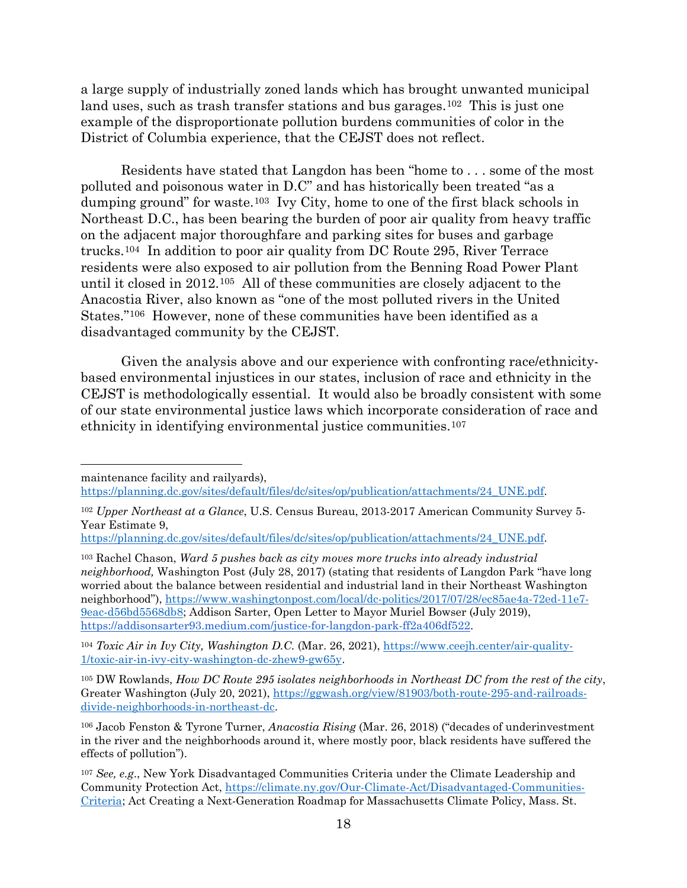a large supply of industrially zoned lands which has brought unwanted municipal land uses, such as trash transfer stations and bus garages.<sup>102</sup> This is just one example of the disproportionate pollution burdens communities of color in the District of Columbia experience, that the CEJST does not reflect.

Residents have stated that Langdon has been "home to . . . some of the most polluted and poisonous water in D.C" and has historically been treated "as a dumping ground" for waste.[103](#page-17-1) Ivy City, home to one of the first black schools in Northeast D.C., has been bearing the burden of poor air quality from heavy traffic on the adjacent major thoroughfare and parking sites for buses and garbage trucks.[104](#page-17-2) In addition to poor air quality from DC Route 295, River Terrace residents were also exposed to air pollution from the Benning Road Power Plant until it closed in 2012.[105](#page-17-3) All of these communities are closely adjacent to the Anacostia River, also known as "one of the most polluted rivers in the United States."[106](#page-17-4) However, none of these communities have been identified as a disadvantaged community by the CEJST.

Given the analysis above and our experience with confronting race/ethnicitybased environmental injustices in our states, inclusion of race and ethnicity in the CEJST is methodologically essential. It would also be broadly consistent with some of our state environmental justice laws which incorporate consideration of race and ethnicity in identifying environmental justice communities.[107](#page-17-5)

maintenance facility and railyards),

[https://planning.dc.gov/sites/default/files/dc/sites/op/publication/attachments/24\\_UNE.pdf.](https://planning.dc.gov/sites/default/files/dc/sites/op/publication/attachments/24_UNE.pdf)

<span id="page-17-3"></span><sup>105</sup> DW Rowlands, *How DC Route 295 isolates neighborhoods in Northeast DC from the rest of the city*, Greater Washington (July 20, 2021), [https://ggwash.org/view/81903/both-route-295-and-railroads](https://ggwash.org/view/81903/both-route-295-and-railroads-divide-neighborhoods-in-northeast-dc)[divide-neighborhoods-in-northeast-dc.](https://ggwash.org/view/81903/both-route-295-and-railroads-divide-neighborhoods-in-northeast-dc)

<span id="page-17-0"></span><sup>102</sup> *Upper Northeast at a Glance*, U.S. Census Bureau, 2013-2017 American Community Survey 5- Year Estimate 9,

[https://planning.dc.gov/sites/default/files/dc/sites/op/publication/attachments/24\\_UNE.pdf.](https://planning.dc.gov/sites/default/files/dc/sites/op/publication/attachments/24_UNE.pdf)

<span id="page-17-1"></span><sup>103</sup> Rachel Chason, *Ward 5 pushes back as city moves more trucks into already industrial neighborhood,* Washington Post (July 28, 2017) (stating that residents of Langdon Park "have long worried about the balance between residential and industrial land in their Northeast Washington neighborhood"), [https://www.washingtonpost.com/local/dc-politics/2017/07/28/ec85ae4a-72ed-11e7-](https://www.washingtonpost.com/local/dc-politics/2017/07/28/ec85ae4a-72ed-11e7-9eac-d56bd5568db8) [9eac-d56bd5568db8;](https://www.washingtonpost.com/local/dc-politics/2017/07/28/ec85ae4a-72ed-11e7-9eac-d56bd5568db8) Addison Sarter, Open Letter to Mayor Muriel Bowser (July 2019), [https://addisonsarter93.medium.com/justice-for-langdon-park-ff2a406df522.](https://addisonsarter93.medium.com/justice-for-langdon-park-ff2a406df522)

<span id="page-17-2"></span><sup>104</sup> *Toxic Air in Ivy City, Washington D.C.* (Mar. 26, 2021), [https://www.ceejh.center/air-quality-](https://www.ceejh.center/air-quality-1/toxic-air-in-ivy-city-washington-dc-zhew9-gw65y)[1/toxic-air-in-ivy-city-washington-dc-zhew9-gw65y.](https://www.ceejh.center/air-quality-1/toxic-air-in-ivy-city-washington-dc-zhew9-gw65y)

<span id="page-17-4"></span><sup>106</sup> Jacob Fenston & Tyrone Turner, *Anacostia Rising* (Mar. 26, 2018) ("decades of underinvestment in the river and the neighborhoods around it, where mostly poor, black residents have suffered the effects of pollution").

<span id="page-17-5"></span><sup>107</sup> *See, e.g*., New York Disadvantaged Communities Criteria under the Climate Leadership and Community Protection Act, [https://climate.ny.gov/Our-Climate-Act/Disadvantaged-Communities-](https://climate.ny.gov/Our-Climate-Act/Disadvantaged-Communities-Criteria)[Criteria;](https://climate.ny.gov/Our-Climate-Act/Disadvantaged-Communities-Criteria) Act Creating a Next-Generation Roadmap for Massachusetts Climate Policy, Mass. St.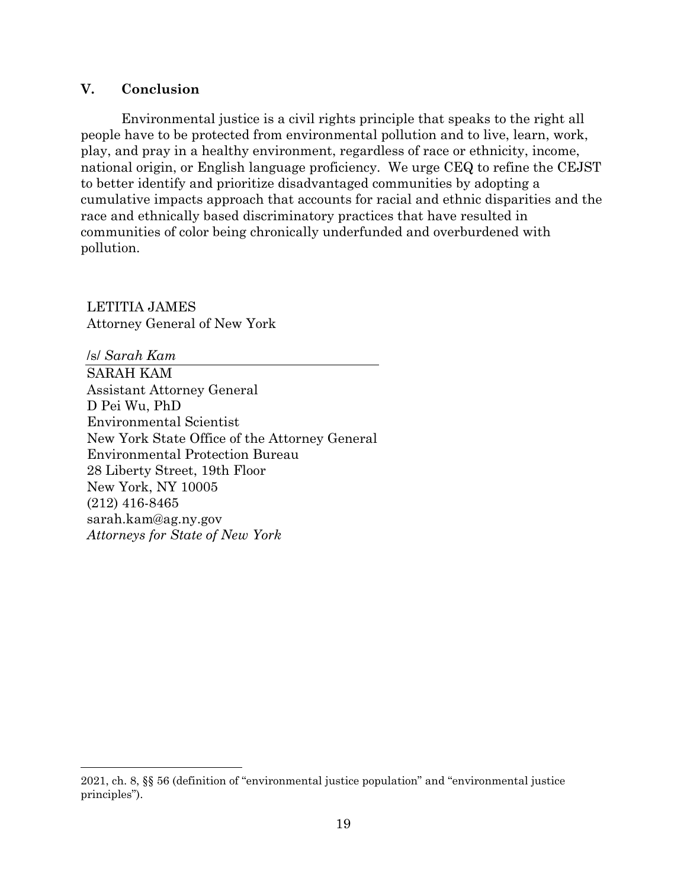# **V. Conclusion**

Environmental justice is a civil rights principle that speaks to the right all people have to be protected from environmental pollution and to live, learn, work, play, and pray in a healthy environment, regardless of race or ethnicity, income, national origin, or English language proficiency. We urge CEQ to refine the CEJST to better identify and prioritize disadvantaged communities by adopting a cumulative impacts approach that accounts for racial and ethnic disparities and the race and ethnically based discriminatory practices that have resulted in communities of color being chronically underfunded and overburdened with pollution.

LETITIA JAMES Attorney General of New York

/s/ *Sarah Kam* SARAH KAM Assistant Attorney General D Pei Wu, PhD Environmental Scientist New York State Office of the Attorney General Environmental Protection Bureau 28 Liberty Street, 19th Floor New York, NY 10005 (212) 416-8465 sarah.kam@ag.ny.gov *Attorneys for State of New York*

<sup>2021,</sup> ch. 8, §§ 56 (definition of "environmental justice population" and "environmental justice principles").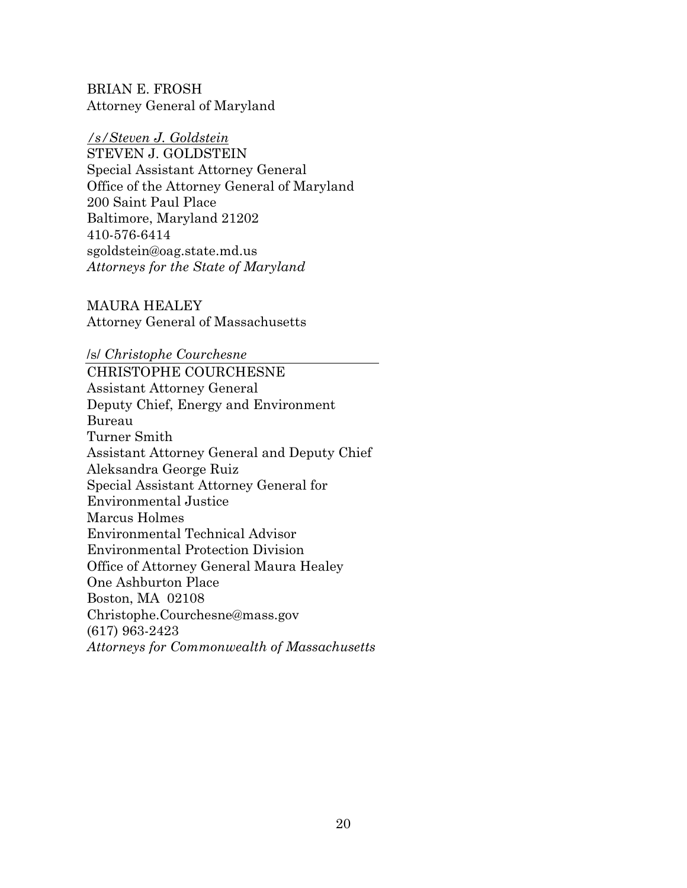BRIAN E. FROSH Attorney General of Maryland

# */s/Steven J. Goldstein*

STEVEN J. GOLDSTEIN Special Assistant Attorney General Office of the Attorney General of Maryland 200 Saint Paul Place Baltimore, Maryland 21202 410-576-6414 sgoldstein@oag.state.md.us *Attorneys for the State of Maryland*

MAURA HEALEY Attorney General of Massachusetts

/s/ *Christophe Courchesne* CHRISTOPHE COURCHESNE Assistant Attorney General Deputy Chief, Energy and Environment Bureau Turner Smith Assistant Attorney General and Deputy Chief Aleksandra George Ruiz Special Assistant Attorney General for Environmental Justice Marcus Holmes Environmental Technical Advisor Environmental Protection Division Office of Attorney General Maura Healey One Ashburton Place Boston, MA 02108 Christophe.Courchesne@mass.gov (617) 963-2423 *Attorneys for Commonwealth of Massachusetts*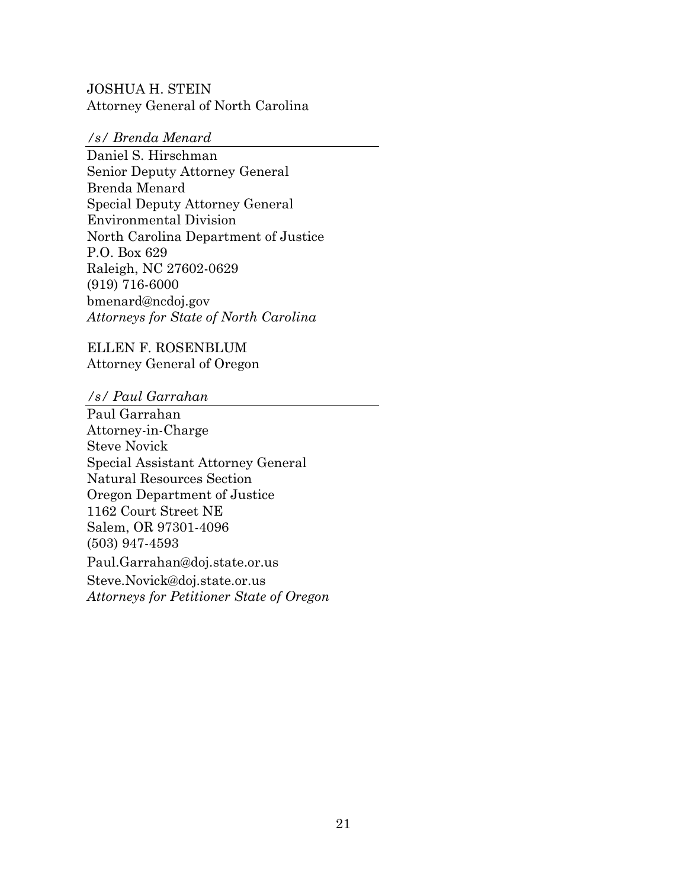JOSHUA H. STEIN Attorney General of North Carolina

#### */s/ Brenda Menard*

Daniel S. Hirschman Senior Deputy Attorney General Brenda Menard Special Deputy Attorney General Environmental Division North Carolina Department of Justice P.O. Box 629 Raleigh, NC 27602-0629 (919) 716-6000 bmenard@ncdoj.gov *Attorneys for State of North Carolina*

ELLEN F. ROSENBLUM Attorney General of Oregon

*/s/ Paul Garrahan* 

Paul Garrahan Attorney-in-Charge Steve Novick Special Assistant Attorney General Natural Resources Section Oregon Department of Justice 1162 Court Street NE Salem, OR 97301-4096 (503) 947-4593 Paul.Garrahan@doj.state.or.us Steve.Novick@doj.state.or.us *Attorneys for Petitioner State of Oregon*